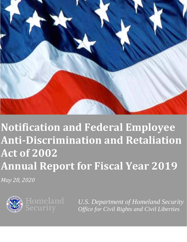

# **Notification and Federal Employee Anti-Discrimination and Retaliation Act of 2002 Annual Report for Fiscal Year 2019**

*May 28, 2020*



*U.S. Department of Homeland Security Office for Civil Rights and Civil Liberties*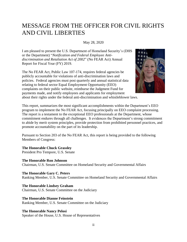### MESSAGE FROM THE OFFICER FOR CIVIL RIGHTS AND CIVIL LIBERTIES

May 28, 2020

I am pleased to present the U.S. Department of Homeland Security's (DHS or the Department) "*Notification and Federal Employee Antidiscrimination and Retaliation Act of 2002*" (No FEAR Act) Annual Report for Fiscal Year (FY) 2019.

The No FEAR Act, Public Law 107-174, requires federal agencies be publicly accountable for violations of anti-discrimination laws and policies. Federal agencies must post quarterly and annual statistical data relating to federal sector Equal Employment Opportunity (EEO) complaints on their public website, reimburse the Judgment Fund for payments made, and notify employees and applicants for employment about their rights under the federal anti-discrimination and whistleblower laws.



This report, summarizes the most significant accomplishments within the Department's EEO program to implement the No FEAR Act, focusing principally on EEO complaint processing. The report is a testament to the exceptional EEO professionals at the Department, whose commitment endures through all challenges. It evidences the Department's strong commitment to abide by merit system principles, provide protection from prohibited personnel practices, and promote accountability on the part of its leadership.

Pursuant to Section 203 of the No FEAR Act, this report is being provided to the following Members of Congress:

**The Honorable Chuck Grassley** President Pro Tempore, U.S. Senate

**The Honorable Ron Johnson** Chairman, U.S. Senate Committee on Homeland Security and Governmental Affairs

**The Honorable Gary C. Peters** Ranking Member, U.S. Senate Committee on Homeland Security and Governmental Affairs

**The Honorable Lindsey Graham** Chairman, U.S. Senate Committee on the Judiciary

**The Honorable Dianne Feinstein** Ranking Member, U.S. Senate Committee on the Judiciary

#### **The Honorable Nancy Pelosi**

Speaker of the House, U.S. House of Representatives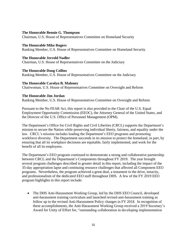#### **The Honorable Bennie G. Thompson**

Chairman, U.S. House of Representatives Committee on Homeland Security

**The Honorable Mike Rogers** Ranking Member, U.S. House of Representatives Committee on Homeland Security

**The Honorable Jerrold Nadler** Chairman, U.S. House of Representatives Committee on the Judiciary

**The Honorable Doug Collins** Ranking Member, U.S. House of Representatives Committee on the Judiciary

#### **The Honorable Carolyn B. Maloney**

Chairwoman, U.S. House of Representatives Committee on Oversight and Reform

#### **The Honorable Jim Jordan**

Ranking Member, U.S. House of Representatives Committee on Oversight and Reform

Pursuant to the No FEAR Act, this report is also provided to the Chair of the U.S. Equal Employment Opportunity Commission (EEOC), the Attorney General of the United States, and the Director of the U.S. Office of Personnel Management (OPM).

The Department's Office for Civil Rights and Civil Liberties (CRCL) supports the Department's mission to secure the Nation while preserving individual liberty, fairness, and equality under the law. CRCL's mission includes leading the Department's EEO programs and promoting workforce diversity. The Department succeeds in its mission to protect the homeland, in part, by ensuring that all its workplace decisions are equitable, fairly implemented, and work for the benefit of all its employees.

The Department's EEO program continued to demonstrate a strong and collaborative partnership between CRCL and the Department's Components throughout FY 2019. The year brought several program challenges described in greater detail in this report, including the impact of the 35-day appropriation lapse and continuing resource challenges that affected all Component EEO programs. Nevertheless, the program achieved a great deal, a testament to the drive, tenacity, and professionalism of the dedicated EEO staff throughout DHS. A few of the FY 2019 EEO program highlights in this report include:

• The DHS Anti-Harassment Working Group, led by the DHS EEO Council, developed anti-harassment training curriculum and launched revised anti-harassment training as follow up to the revised Anti-Harassment Policy changes in FY 2018. In recognition of these accomplishments, the Anti-Harassment Working Group received a 2019 Secretary's Award for Unity of Effort for, "outstanding collaboration in developing implementation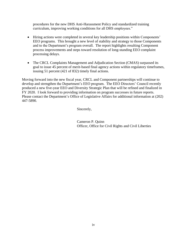procedures for the new DHS Anti-Harassment Policy and standardized training curriculum, improving working conditions for all DHS employees."

- Hiring actions were completed in several key leadership positions within Components' EEO programs. This brought a new level of stability and strategy to those Components and to the Department's program overall. The report highlights resulting Component process improvements and steps toward resolution of long-standing EEO complaint processing delays.
- The CRCL Complaints Management and Adjudication Section (CMAS) surpassed its goal to issue 45 percent of merit-based final agency actions within regulatory timeframes, issuing 51 percent (421 of 832) timely final actions.

Moving forward into the new fiscal year, CRCL and Component partnerships will continue to develop and strengthen the Department's EEO program. The EEO Directors' Council recently produced a new five-year EEO and Diversity Strategic Plan that will be refined and finalized in FY 2020. I look forward to providing information on program successes in future reports. Please contact the Department's Office of Legislative Affairs for additional information at (202) 447-5890.

Sincerely,

Cameron P. Quinn Officer, Office for Civil Rights and Civil Liberties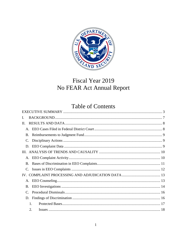

# Fiscal Year 2019 No FEAR Act Annual Report

# **Table of Contents**

| I. |    |  |
|----|----|--|
| П. |    |  |
|    |    |  |
| B. |    |  |
| C. |    |  |
|    |    |  |
|    |    |  |
|    |    |  |
| B. |    |  |
|    |    |  |
|    |    |  |
|    |    |  |
| B. |    |  |
|    |    |  |
| D. |    |  |
|    | 1. |  |
|    | 2. |  |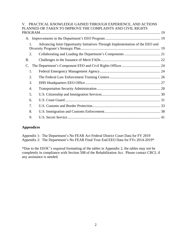| V. PRACTICAL KNOWLEDGE GAINED THROUGH EXPERIENCE, AND ACTIONS                 |                                                             |
|-------------------------------------------------------------------------------|-------------------------------------------------------------|
|                                                                               |                                                             |
|                                                                               |                                                             |
| Advancing Joint Opportunity Initiatives Through Implementation of the EEO and |                                                             |
|                                                                               |                                                             |
|                                                                               |                                                             |
|                                                                               |                                                             |
|                                                                               |                                                             |
|                                                                               |                                                             |
|                                                                               |                                                             |
|                                                                               |                                                             |
|                                                                               |                                                             |
|                                                                               |                                                             |
|                                                                               |                                                             |
|                                                                               |                                                             |
|                                                                               |                                                             |
|                                                                               | PLANNED OR TAKEN TO IMPROVE THE COMPLAINTS AND CIVIL RIGHTS |

#### **Appendices**

Appendix 1: The Department's No FEAR Act Federal District Court Data for FY 2019 Appendix 2: The Department's No FEAR Final Year End EEO Data for FYs 2014-2019\*

\*Due to the EEOC's required formatting of the tables in Appendix 2, the tables may not be completely in compliance with Section 508 of the Rehabilitation Act. Please contact CRCL if any assistance is needed.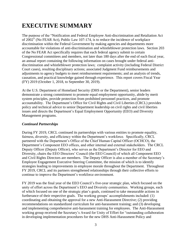# <span id="page-6-0"></span>**EXECUTIVE SUMMARY**

The purpose of the "Notification and Federal Employee Anti-discrimination and Retaliation Act of 2002" (No FEAR Act), Public Law 107-174, is to reduce the incidence of workplace discrimination within the Federal Government by making agencies and departments more accountable for violations of anti-discrimination and whistleblower protection laws. Section 203 of the No FEAR Act specifically requires that each federal agency submit to certain Congressional committees and members, not later than 180 days after the end of each fiscal year, an annual report containing the following information on cases brought under federal antidiscrimination and whistleblower protection laws; complaint activity (including Federal District Court cases), resulting disciplinary actions; associated Judgment Fund reimbursements and adjustments to agency budgets to meet reimbursement requirements; and an analysis of trends, causation, and practical knowledge gained through experience. This report covers Fiscal Year (FY) 2019 (October 1, 2018, to September 30, 2019).

At the U.S. Department of Homeland Security (DHS or the Department), senior leaders demonstrate a strong commitment to promote equal employment opportunity, abide by merit system principles, provide protection from prohibited personnel practices, and promote accountability. The Department's Office for Civil Rights and Civil Liberties (CRCL) provides policy and technical advice to senior Department leadership on civil rights and civil liberties issues and directs the Department's Equal Employment Opportunity (EEO) and Diversity Management programs.

#### *Continued Partnerships*

During FY 2019, CRCL continued its partnerships with various entities to promote equality, fairness, diversity, and efficiency within the Department's workforce. Specifically, CRCL partnered with the Department's Office of the Chief Human Capital Officer (OCHCO), the Department's Component EEO offices, and other internal and external stakeholders. The CRCL Deputy Officer (Deputy Officer), who serves as the Department's Director for EEO and Diversity, chairs the EEO Directors' Council (the EEO Council) of which all Component EEO and Civil Rights Directors are members. The Deputy Officer is also a member of the Secretary's Employee Engagement Executive Steering Committee, the mission of which is to identify strategies leading to improvements in employee morale throughout the Department. Throughout FY 2019, CRCL and its partners strengthened relationships through their collective efforts to continue to improve the Department's workforce environment.

FY 2019 was the final year of the EEO Council's five-year strategic plan, which focused on the unity of effort across the Department's EEO and Diversity communities. Working groups, each of which focused on one of the strategic plan's goals, continued to take measurable actions in furtherance of their respective goals. The working groups' accomplishments included: (1) coordinating and obtaining the approval for a new Anti-Harassment Directive; (2) providing recommendations on standardized curriculum for anti-harassment training; and (3) developing and implementing comprehensive anti-harassment training for employees. The Anti-Harassment working group received the Secretary's Award for Unity of Effort for "outstanding collaboration in developing implementation procedures for the new DHS Anti-Harassment Policy and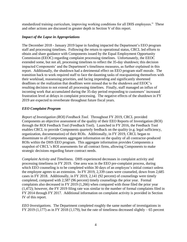standardized training curriculum, improving working conditions for all DHS employees." These and other actions are discussed in greater depth in Section V of this report.

#### *Impact of the Lapse in Appropriations*

The December 2018 - January 2019 lapse in funding impacted the Department's EEO program staff and processing timelines. Following the return to operational status, CRCL led efforts to obtain and share guidance with Components issued by the Equal Employment Opportunity Commission (EEOC) regarding complaint processing timelines. Unfortunately, the EEOC extended some, but not all, processing timelines to reflect the 35-day shutdown; this decision impacted Components' and the Department's timeliness measures, as further explained in this report. Additionally, the shutdown had a detrimental effect on EEO program staff morale. The transition back to work required staff to face the daunting tasks of reacquainting themselves with their workload, reassessing priorities, and facing impending and significantly shortened deadlines or the realization that deadlines were missed due to the shutdown and EEOC's resulting decision to not extend all processing timelines. Finally, staff managed an influx of incoming work that accumulated during the 35-day period responding to customers' increased frustration level at delays in complaint processing. The negative effects of the shutdown in FY 2019 are expected to reverberate throughout future fiscal years.

#### *EEO Complaint Program*

*Report of Investigation (ROI) Feedback Tool.* Throughout FY 2019, CRCL provided Components an objective assessment of the quality of their EEO Reports of Investigation (ROI) through the ROI Feedback Tool (Feedback Tool). Launched in FY 2016, the Feedback Tool enables CRCL to provide Components quarterly feedback on the quality (e.g. legal sufficiency, organization, documentation) of their ROIs. Additionally, in FY 2019, CRCL began to disseminate to all Components aggregate information on the quality of all contractor-produced ROIs within the DHS EEO program. This aggregate information provides Components a snapshot of CRCL's ROI assessments for all contract firms, allowing Components to make strategic decisions regarding future contract needs.

*Complaint Activity and Timeliness.* DHS experienced decreases in complaint activity and processing timeliness in FY 2019. One area was in the EEO pre-complaint process, during which EEO counseling is to be completed within 30 days of an employee's initial contact unless the employee agrees to an extension. In FY 2019, 2,339 cases were counseled, down from 2,685 cases in FY 2018. Additionally, in FY 2019, 2,141 (92 percent) of counselings were timely completed, compared with 2,587 (96 percent) timely counselings the prior year. Formal complaints also decreased in FY 2019 (1,266) when compared with those filed the prior year (1,472); however, the FY 2019 filing rate was similar to the number of formal complaints filed in FY 2014 through FY 2017. Additional information on complaint activity is provided in Section IV of this report.

*EEO Investigations.* The Department completed roughly the same number of investigations in FY 2019 (1,177) as in FY 2018 (1,179), but the rate of timeliness decreased slightly  $-65$  percent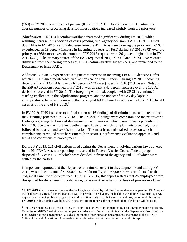(768) in FY 2019 down from 71 percent (840) in FY 2018. In addition, the Department's average number of processing days for investigations increased slightly from the prior year.

*Adjudication.* CRCL's incoming workload increased significantly during FY 2019, with a resulting increase in its backlog of cases pending final agency decision (FAD). CRCL issued 399 FADs in FY 2019, a slight decrease from the 417 FADs issued during the prior year. CRCL experienced an 18 percent increase in incoming requests for FAD during FY 2019 (672) over the prior year (568); moreover, the number of FY 2018 requests were 26 percent higher than in FY 2017 (451). The primary source of the FAD requests during FY 2018 and FY 2019 were cases dismissed from the hearing process by EEOC Administrative Judges (AJs) and remanded to the Department to issue FADs.

Additionally, CRCL experienced a significant increase in incoming EEOC AJ decisions, after which CRCL issued merit-based final actions called Final Orders. During FY 2019 incoming decisions from EEOC AJs rose by 67 percent (433 cases) over FY 2018 (259 cases). Notably, the 259 AJ decisions received in FY 2018, was already a 42 percent increase over the 182 AJ decisions received in FY 2017. The foregoing workload, coupled with CRCL's continued staffing challenges in the adjudications program, and the impact of the 35-day lapse in appropriations, led to an increase in the backlog of FADs from 172 at the end of FY 2018, to 311 cases as of the end of FY 2019. 1

In FY 2019, DHS issued or took final action on 16 findings of discrimination,<sup>2</sup> an increase from the 8 findings processed in FY 2018. The FY 2019 findings were comparable to the prior year's findings regarding the bases of discrimination and issues on which complainants prevailed. In FY 2019, race was the most frequently alleged basis on which complainants prevailed, closely followed by reprisal and sex discrimination. The most frequently raised issues on which complainants prevailed were harassment (non-sexual), performance evaluation/appraisal, and terms and conditions of employment.

During FY 2019, 221 civil actions filed against the Department, involving various laws covered in the No FEAR Act, were pending or resolved in Federal District Court. Federal judges disposed of 54 cases, 36 of which were decided in favor of the agency and 18 of which were settled by the parties.

Components reported that the Department's reimbursement to the Judgment Fund during FY 2019, was in the amount of \$963,000.00. Additionally, \$1,055,000.00 was reimbursed to the Judgment Fund for attorney's fees. During FY 2019, this report reflects that 28 employees were disciplined for discrimination, retaliation, harassment, or other infractions of provisions of law

 $\overline{a}$ 

<sup>&</sup>lt;sup>1</sup> In FY 2019, CRCL changed the way the backlog is calculated by defining the backlog as any pending FAD request that had been at CRCL for more than 60 days. In previous fiscal years, the backlog was defined as a pending FAD request that had not yet been assigned to an adjudication analyst. If that same methodology were used, the end of FY 2019 backlog number would be 257 cases. For future reports, the new method of calculation will be used.

<sup>&</sup>lt;sup>2</sup> The Department issued 11 merit FADs, and four Final Orders fully implementing Equal Employment Opportunity Commission (EEOC) Administrative Judges' (AJ) decisions finding discrimination; the Department also issued one Final Order not implementing an AJ's decision finding discrimination and appealing the matter to the EEOC's Office of Federal Operations. A more detailed explanation can be found in Section V of this report.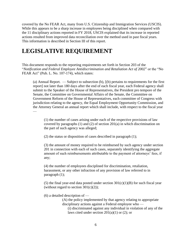covered by the No FEAR Act, many from U.S. Citizenship and Immigration Services (USCIS). While this appears to be a sharp increase in employees being disciplined when compared with the 11 disciplinary actions reported in FY 2018, USCIS explained that its increase in reported actions resulted from improved data reconciliation over the method used in past fiscal years. This information is described in Section III of this report.

### **LEGISLATIVE REQUIREMENT**

This document responds to the reporting requirements set forth in Section 203 of the "*Notification and Federal Employee Antidiscrimination and Retaliation Act of 2002*" or the "No FEAR Act" (Pub. L. No. 107-174), which states:

(a) Annual Report. — Subject to subsection (b), [(b) pertains to requirements for the first report] not later than 180 days after the end of each fiscal year, each Federal agency shall submit to the Speaker of the House of Representatives, the President pro tempore of the Senate, the Committee on Governmental Affairs of the Senate, the Committee on Government Reform of the House of Representatives, each committee of Congress with jurisdiction relating to the agency, the Equal Employment Opportunity Commission, and the Attorney General an annual report which shall include, with respect to the fiscal year  $\overline{\phantom{a}}$ 

(1) the number of cases arising under each of the respective provisions of law covered by paragraphs (1) and (2) of section 201(a) in which discrimination on the part of such agency was alleged;

(2) the status or disposition of cases described in paragraph (1);

(3) the amount of money required to be reimbursed by such agency under section 201 in connection with each of such cases, separately identifying the aggregate amount of such reimbursements attributable to the payment of attorneys' fees, if any;

(4) the number of employees disciplined for discrimination, retaliation, harassment, or any other infraction of any provision of law referred to in paragraph (1);

(5) the final year-end data posted under section  $301(c)(1)(B)$  for such fiscal year (without regard to section  $301(c)(2)$ );

(6) a detailed description of —

(A) the policy implemented by that agency relating to appropriate disciplinary actions against a Federal employee who —

(i) discriminated against any individual in violation of any of the laws cited under section  $201(a)(1)$  or (2); or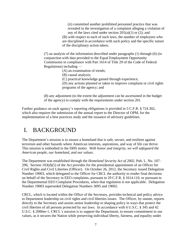(ii) committed another prohibited personnel practice that was revealed in the investigation of a complaint alleging a violation of any of the laws cited under section  $201(a)(1)$  or (2); and

(B) with respect to each of such laws, the number of employees who are disciplined in accordance with such policy and the specific nature of the disciplinary action taken;

(7) an analysis of the information described under paragraphs (1) through (6) (in conjunction with data provided to the Equal Employment Opportunity Commission in compliance with Part 1614 of Title 29 of the Code of Federal Regulations) including —

(A) an examination of trends;

- (B) causal analysis;
- (C) practical knowledge gained through experience;

(D) any actions planned or taken to improve complaint or civil rights programs of the agency; and

(8) any adjustment (to the extent the adjustment can be ascertained in the budget of the agency) to comply with the requirements under section 201.

Further guidance on each agency's reporting obligations is provided in 5 C.F.R. § 724.302, which also requires the submission of the annual report to the Director of OPM, for the implementation of a best practices study and the issuance of advisory guidelines.

### <span id="page-10-0"></span>I. BACKGROUND

The Department's mission is to ensure a homeland that is safe, secure, and resilient against terrorism and other hazards where American interests, aspirations, and way of life can thrive. This mission is embodied in the DHS motto: *With honor and integrity, we will safeguard the American people, our homeland, and our values.*

The Department was established through the *Homeland Security Act of 2002*, Pub. L. No. 107– 296; Section 103(d)(5) of the Act provides for the presidential appointment of an Officer for Civil Rights and Civil Liberties (Officer). On October 26, 2012, the Secretary issued Delegation Number 19003, which delegated to the Officer for CRCL the authority to render final decisions on behalf of the Secretary in EEO complaints, pursuant to 29 C.F.R. § 1614.110, or pursuant to the Departmental EEO Complaint Procedures, when that regulation is not applicable. Delegation Number 19003 superseded Delegation Numbers 3095 and 19002.

CRCL, which is located within the Office of the Secretary, provides technical and policy advice to Department leadership on civil rights and civil liberties issues. The Officer, by statute, reports directly to the Secretary and assists senior leadership in shaping policy in ways that protect the civil liberties of all persons protected by our laws. In accordance with 6 U.S.C. § 345 and 42 U.S.C. § 2000ee-1, CRCL's mission is to support the Department, to ensure commitment to our values, as it secures the Nation while preserving individual liberty, fairness, and equality under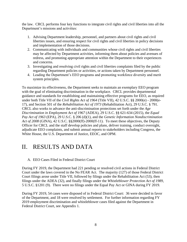the law. CRCL performs four key functions to integrate civil rights and civil liberties into all the Department's missions and activities:

- 1. Advising Department leadership, personnel, and partners about civil rights and civil liberties issues, and ensuring respect for civil rights and civil liberties in policy decisions and implementation of those decisions.
- 2. Communicating with individuals and communities whose civil rights and civil liberties may be affected by Department activities, informing them about policies and avenues of redress, and promoting appropriate attention within the Department to their experiences and concerns.
- 3. Investigating and resolving civil rights and civil liberties complaints filed by the public regarding Department policies or activities, or actions taken by Department personnel.
- 4. Leading the Department's EEO programs and promoting workforce diversity and merit system principles.

To maximize its effectiveness, the Department seeks to maintain an exemplary EEO program with the goal of eliminating discrimination in the workplace. CRCL provides departmental guidance and standards for establishing and maintaining effective programs for EEO, as required under both Title VII of the *Civil Rights Act of 1964* (Title VII), 42 U.S.C. §§ 2000(e) - 2000(e-17), and Section 501 of the *Rehabilitation Act of 1973* (Rehabilitation Act), 29 U.S.C. § 791. CRCL also works to advance the anti-discrimination protections set forth under the *Age Discrimination in Employment Act of 1967* (ADEA), 29 U.S.C. §§ 621-634 (2015), the *Equal Pay Act of 1963* (EPA), 29 U.S.C. § 206 (d)(1), and the *Genetic Information Nondiscrimination Act of 2008* (GINA), 42 U.S.C. §§2000(ff)-2000(ff-11). To meet these objectives, the Deputy Officer for CRCL and the staff develop policies and plans, deliver training, conduct oversight, adjudicate EEO complaints, and submit annual reports to stakeholders including Congress, the White House, the U.S. Department of Justice, EEOC, and OPM.

### <span id="page-11-0"></span>II. RESULTS AND DATA

#### <span id="page-11-1"></span>A. EEO Cases Filed in Federal District Court

During FY 2019, the Department had 221 pending or resolved civil actions in Federal District Court under the laws covered in the No FEAR Act. The majority (127) of those Federal District Court filings arose under Title VII, followed by filings under the Rehabilitation Act (53), then filings under the ADEA (32), and finally filings under the *Whistleblower Protection Act of 1989*, 5 U.S.C. §1201 (9). There were no filings under the Equal Pay Act or GINA during FY 2019.

During FY 2019, 54 cases were disposed of in Federal District Court: 36 were decided in favor of the Department, and 18 were resolved by settlement. For further information regarding FY 2019 employment discrimination and whistleblower cases filed against the Department in Federal District Court, see Appendix 1.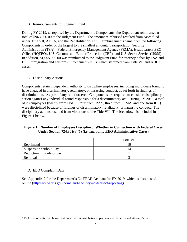<span id="page-12-0"></span>B. Reimbursements to Judgment Fund

During FY 2019, as reported by the Department's Components, the Department reimbursed a total of \$963,000.00 to the Judgment Fund. The amount reimbursed resulted from cases filed under Title VII, ADEA, and the Rehabilitation Act. Reimbursements came from the following Components in order of the largest to the smallest amount: Transportation Security Administration (TSA),<sup>3</sup> Federal Emergency Management Agency (FEMA), Headquarters EEO Office (HQEEO), U.S. Customs and Border Protection (CBP), and U.S. Secret Service (USSS). In addition, \$1,055,000.00 was reimbursed to the Judgment Fund for attorney's fees by TSA and U.S. Immigration and Customs Enforcement (ICE), which stemmed from Title VII and ADEA cases.

#### <span id="page-12-1"></span>C. Disciplinary Actions

Components retain independent authority to discipline employees, including individuals found to have engaged in discriminatory, retaliatory, or harassing conduct, as set forth in findings of discrimination. As part of any relief ordered, Components are required to consider disciplinary action against any individual found responsible for a discriminatory act. During FY 2019, a total of 28 employees (twenty from USCIS, four from USSS, three from FEMA, and one from ICE) were disciplined because of findings of discriminatory, retaliatory, or harassing conduct. The disciplinary actions resulted from violations of the Title VII. The breakdown is included in Figure 1 below.

#### **Figure 1: Number of Employees Disciplined, Whether in Connection with Federal Cases Under Section 724.302(a)(5) (i.e. Including EEO Administrative Cases)**

|                           | Title VII |
|---------------------------|-----------|
| Reprimand                 |           |
| Suspension without Pay    |           |
| Reduction in grade or pay |           |
| Removal                   |           |

#### <span id="page-12-2"></span>D. EEO Complaint Data

See Appendix 2 for the Department's No FEAR Act data for FY 2019, which is also posted online [\(http://www.dhs.gov/homeland-security-no-fear-act-reporting\)](http://www.dhs.gov/homeland-security-no-fear-act-reporting).

 $\overline{a}$ <sup>3</sup> TSA's records for reimbursement do not distinguish between payments to plaintiffs and attorney's fees.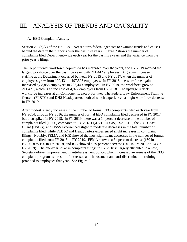### <span id="page-13-0"></span>III. ANALYSIS OF TRENDS AND CAUSALITY

#### <span id="page-13-1"></span>A. EEO Complaint Activity

Section 203(a)(7) of the No FEAR Act requires federal agencies to examine trends and causes behind the data in their reports over the past five years. Figure 2 shows the number of complaints filed Department-wide each year for the past five years and the variance from the prior year's filing.

The Department's workforce population has increased over the years, and FY 2019 marked the largest workforce over the past five years with 211,442 employees. A gradual increase in staffing at the Department occurred between FY 2015 and FY 2017, when the number of employees grew from 190,431 to 197,593 employees. In FY 2018, the workforce again increased by 8,856 employees to 206,449 employees. In FY 2019, the workforce grew to 211,421, which is an increase of 4,972 employees from FY 2018. The upsurge reflects workforce increases at all Components, except for two: The Federal Law Enforcement Training Centers (FLETC) and DHS Headquarters, both of which experienced a slight workforce decrease in FY 2019.

After modest, steady increases in the number of formal EEO complaints filed each year from FY 2014, through FY 2016, the number of formal EEO complaints filed decreased in FY 2017, but then spiked in FY 2018. In FY 2019, there was a 14 percent decrease in the number of complaints filed (1,266) compared to FY 2018 (1,472). USCIS, TSA, CBP, the U.S. Coast Guard (USCG), and USSS experienced slight to moderate decreases in the total number of complaints filed, while FLETC and Headquarters experienced slight increases in complaint filings. Notably, FEMA and ICE showed the most significant decreases in the number of formal complaints filed from FY 2018 to FY 2019. FEMA showed a 34 percent decrease (160 in FY 2018 to 106 in FY 2019), and ICE showed a 29 percent decrease (201 in FY 2018 to 143 in FY 2019). The one-year spike in complaint filings in FY 2018 is largely attributed to a new, Secretary-driven improvement in anti-harassment policy, which increased awareness of the EEO complaint program as a result of increased anti-harassment and anti-discrimination training provided to employees that year. See Figure 2.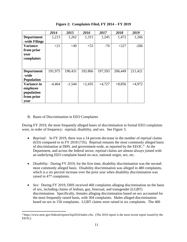|                    | 2014     | 2015     | 2016     | 2017     | 2018     | 2019     |
|--------------------|----------|----------|----------|----------|----------|----------|
| <b>Department</b>  | 1,213    | 1,262    | 1,315    | 1,245    | 1,472    | 1,266    |
| -wide Filings      |          |          |          |          |          |          |
| <b>Variance</b>    | $+21$    | $+49$    | $+53$    | $-70$    | $+227$   | $-206$   |
| from prior         |          |          |          |          |          |          |
| year               |          |          |          |          |          |          |
| complaints         |          |          |          |          |          |          |
|                    |          |          |          |          |          |          |
|                    |          |          |          |          |          |          |
| <b>Department</b>  | 191,975  | 190,431  | 192.866  | 197,593  | 206,449  | 211,421  |
| -wide              |          |          |          |          |          |          |
| <b>Population</b>  |          |          |          |          |          |          |
| <b>Variance in</b> | $-4,464$ | $-1,544$ | $+2,435$ | $+4,727$ | $+8,856$ | $+4,972$ |
| employee           |          |          |          |          |          |          |
| population         |          |          |          |          |          |          |
| from prior         |          |          |          |          |          |          |
| vear               |          |          |          |          |          |          |

**Figure 2: Complaints Filed, FY 2014 – FY 2019**

#### <span id="page-14-0"></span>B. Bases of Discrimination in EEO Complaints

 $\overline{a}$ 

During FY 2019, the most frequently alleged bases of discrimination in formal EEO complaints were, in order of frequency: reprisal, disability, and sex. See Figure 3.

- *Reprisal:* In FY 2019, there was a 14 percent decrease in the number of reprisal claims (633) compared to in FY 2018 (735). Reprisal remains the most commonly alleged basis of discrimination at DHS, and government-wide, as reported by the EEOC.<sup>4</sup> At the Department, and across the federal sector, reprisal claims are almost always joined with an underlying EEO complaint based on race, national origin, sex, etc.
- *Disability:* During FY 2019, for the first time, disability discrimination was the secondmost commonly alleged basis. Disability discrimination was alleged in 480 complaints, which is a six percent increase over the prior year when disability discrimination was raised in 477 complaints.
- *Sex:* During FY 2019, DHS received 460 complaints alleging discrimination on the basis of sex, including claims of lesbian, gay, bisexual, and transgender (LGBT) discrimination. Specifically, females alleging discrimination based on sex accounted for the most frequently raised basis, with 304 complaints. Males alleged discrimination based on sex in 150 complaints. LGBT claims were raised in six complaints. The 460

<sup>4</sup> https://www.eeoc.gov/federal/reports/fsp2016/index.cfm. (The 2016 report is the most recent report issued by the EEOC).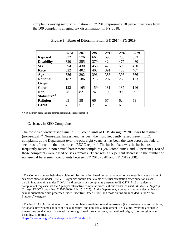complaints raising sex discrimination in FY 2019 represent a 10 percent decrease from the 509 complaints alleging sex discrimination in FY 2018.

|                         | 2014 | 2015 | 2016 | 2017 | 2018 | 2019 |
|-------------------------|------|------|------|------|------|------|
| <b>Reprisal</b>         | 532  | 576  | 667  | 596  | 735  | 633  |
| <b>Disability</b>       | 320  | 355  | 379  | 424  | 477  | 480  |
| <b>Sex</b>              | 394  | 430  | 453  | 476  | 509  | 460  |
| Race                    | 322  | 402  | 403  | 391  | 488  | 407  |
| Age                     | 336  | 392  | 396  | 386  | 398  | 366  |
| <b>National</b>         | 182  | 186  | 218  | 207  | 263  | 173  |
| Origin                  |      |      |      |      |      |      |
| <b>Color</b>            | 122  | 165  | 159  | 181  | 187  | 146  |
| Non-                    | 78   | 82   | 74   | 100  | 90   | 69   |
| Statutory <sup>*5</sup> |      |      |      |      |      |      |
| <b>Religion</b>         | 63   | 58   | 66   | 57   | 62   | 53   |
| <b>GINA</b>             | 4    | 5    | 7    | 4    | 6    | 3    |

**Figure 3: Bases of Discrimination, FY 2014 - FY 2019**

<span id="page-15-0"></span>\* Non-statutory bases include parental status and sexual orientation.

#### C. Issues in EEO Complaints

 $\overline{a}$ 

The most frequently raised issue in EEO complaints at DHS during FY 2019 was harassment (non-sexual). 6 Non-sexual harassment has been the most frequently raised issue in EEO complaints at the Department over the past eight years, as has been the case across the federal sector as reflected in the most recent EEOC report.<sup>7</sup> The basis of sex was the basis most frequently raised in non-sexual harassment complaints (246 complaints), and 68 percent (168) of those complaints were based on sex (female). There was a six percent decrease in the number of non-sexual harassment complaints between FY 2018 (628) and FY 2019 (588).

7https://www.eeoc.gov/federal/reports/fsp2016/index.cfm.

<sup>5</sup> The Commission has held that a claim of discrimination based on sexual orientation necessarily states a claim of sex discrimination under Title VII. Agencies should treat claims of sexual orientation discrimination as sex discrimination claims under Title VII and process such complaints pursuant to 29 C.F.R. § 1614, unless a complainant requests that the Agency's alternative complaint process, if one exists, be used. *Baldwin v. Dep't of Transp*., EEOC Appeal No. 0120133080 (July 15, 2015). At the Department, a complainant may elect to have a sexual orientation claim processed under Executive Order 13087, and those claims are included in the "Non-Statutory" category.

<sup>&</sup>lt;sup>6</sup> The No FEAR Act requires reporting of complaints involving sexual harassment (i.e., sex-based claims involving actionable unwelcome conduct of a sexual nature) and non-sexual harassment (i.e., claims involving actionable unwelcome conduct not of a sexual nature, e.g., based instead on race, sex, national origin, color, religion, age, disability, or reprisal).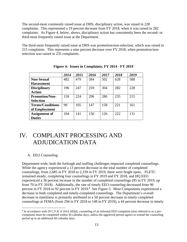The second-most commonly raised issue at DHS, disciplinary action, was raised in 228 complaints. This represented a 19 percent decrease from FY 2018, when it was raised in 282 complaints. As Figure 4, below, shows, disciplinary action has consistently been the second- or third-most frequently raised issue at the Department.

The third-most frequently raised issue at DHS was promotion/non-selection, which was raised in 215 complaints. This represents a nine percent decrease over FY 2018, when promotion/nonselection was raised in 235 complaints.

|                         | 2014 | 2015 | 2016 | 2017 | 2018 | 2019 |
|-------------------------|------|------|------|------|------|------|
| <b>Non-Sexual</b>       | 482  | 479  | 584  | 502  | 628  | 588  |
| <b>Harassment</b>       |      |      |      |      |      |      |
| <b>Disciplinary</b>     | 196  | 247  | 259  | 304  | 282  | 228  |
| <b>Action</b>           |      |      |      |      |      |      |
| <b>Promotion/Non-</b>   | 159  | 224  | 296  | 280  | 235  | 215  |
| <b>Selection</b>        |      |      |      |      |      |      |
| <b>Terms/Conditions</b> | 99   | 105  | 147  | 158  | 221  | 161  |
| of Employment           |      |      |      |      |      |      |
| <b>Assignment of</b>    | 104  | 141  | 150  | 126  | 222  | 131  |
| <b>Duties</b>           |      |      |      |      |      |      |

**Figure 4: Issues in Complaints, FY 2014 - FY 2019**

### <span id="page-16-0"></span>IV. COMPLAINT PROCESSING AND ADJUDICATION DATA

#### <span id="page-16-1"></span>A. EEO Counseling

 $\overline{a}$ 

Department-wide, both the furlough and staffing challenges impacted completed counselings. While the agency experienced a 13 percent decrease in the total number of completed counselings, from 2,685 in FY 2018 to 2,339 in FY 2019, there were bright spots. FLETC remained steady, completing four counselings in FY 2019 and FY 2018, and HQ EEO experienced a 36 percent increase in the number of completed counselings (95 in FY 2019, up from 70 in FY 2018). Additionally, the rate of timely EEO counseling decreased from 96 percent in FY 2018 to 92 percent in FY 2019.<sup>8</sup> See Figure 5. Most Components experienced a decrease in both completed and timely-completed counselings. The Department's overall decrease in timeliness is primarily attributed to a 50 percent decrease in timely completed counselings at FEMA (from 294 in FY 2018 to 148 in FY 2019), a 44 percent decrease in timely

<sup>&</sup>lt;sup>8</sup> In accordance with 29 C.F.R. § 1614.105(d), counseling of an informal EEO complaint (also referred to as a precomplaint) must be completed within 30 calendar days, unless the aggrieved person agrees to extend the counseling period up to an additional 60 calendar days.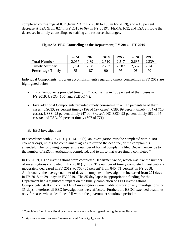completed counselings at ICE (from 274 in FY 2018 to 153 in FY 2019), and a 16 percent decrease at TSA (from 827 in FY 2018 to 697 in FY 2019). FEMA, ICE, and TSA attribute the decreases in timely counselings to staffing and resource challenges.

|                          | 2014  | 2015  | 2016  | 2017  | 2018  | 2019  |
|--------------------------|-------|-------|-------|-------|-------|-------|
| <b>Total Number</b>      | 2,067 | 2,391 | 2,510 | 2,517 | 2,685 | 2,339 |
| <b>Timely Number</b>     | .761  | 2,081 | 2,253 | 2,387 | 2,587 | 2,141 |
| <b>Percentage Timely</b> | 85    | 87    | 90    | 95    | 96    | 92    |

|  | Figure 5: EEO Counseling at the Department, FY 2014 - FY 2019 |
|--|---------------------------------------------------------------|
|  |                                                               |

Individual Components' program accomplishments regarding timely counselings in FY 2019 are highlighted below:

- Two Components provided timely EEO counseling in 100 percent of their cases in FY 2019: USCG (100) and FLETC (4).
- Five additional Components provided timely counseling in a high percentage of their cases: USCIS, 99 percent timely (196 of 197 cases); CBP, 99 percent timely (704 of 710 cases); USSS, 98 percent timely (47 of 48 cases); HQ EEO, 98 percent timely (93 of 95 cases); and TSA, 90 percent timely (697 of 771).

#### <span id="page-17-0"></span>B. EEO Investigations

 $\overline{a}$ 

In accordance with 29 C.F.R. § 1614.108(e), an investigation must be completed within 180 calendar days, unless the complainant agrees to extend the deadline, or the complaint is amended. The following compares the number of formal complaints filed Department-wide to the number of EEO investigations completed, and to those that were timely completed.<sup>9</sup>

In FY 2019, 1,177 investigations were completed Department-wide, which was like the number of investigations completed in FY 2018 (1,179). The number of timely completed investigations moderately decreased in FY 2019, to 768 (65 percent) from 840 (71 percent) in FY 2018. Additionally, the average number of days to complete an investigation increased from 271 days in FY 2018, to 291 days in FY 2019. The 35-day lapse in appropriation funding for the Department had a significant impact on the timely completion of EEO investigations. Components' staff and contract EEO investigators were unable to work on any investigations for 35-days; therefore, all EEO investigations were affected. Further, the EEOC extended deadlines only for cases whose deadlines fell within the government shutdown period.<sup>10</sup>

<sup>&</sup>lt;sup>9</sup> Complaints filed in one fiscal year may not always be investigated during the same fiscal year.

<sup>10</sup> https://www.eeoc.gov/eeoc/newsroom/wysk/impact\_of\_lapse.cfm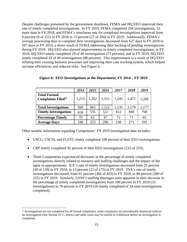Despite challenges presented by the government shutdown, FEMA and HQ EEO improved their rate of timely completed investigations. In FY 2019, FEMA completed 204 investigations, 53 more than in FY 2018, and FEMA's timeliness rate for completed investigations improved from 6 percent (9 of 151) in FY 2018 to 13 percent (27 of 204) in FY 2019. Additionally, FEMA's average processing days to complete their investigations decreased from 627 days in FY 2018 to 507 days in FY 2019, a direct result of FEMA addressing their backlog of pending investigations during FY 2019. HQ EEO also showed improvements in timely completed investigations; in FY 2018, HQ EEO timely completed 29 of 40 investigations (73 percent), and in FY 2019, HQ EEO timely completed 43 of 49 investigations (88 percent). This improvement is a result of HQ EEO refining their existing business processes and improving their case tracking system, which helped increase efficiencies and reduced risks. See Figure 6.

|                                                              | 2014  | 2015  | 2016  | 2017  | 2018  | 2019  |
|--------------------------------------------------------------|-------|-------|-------|-------|-------|-------|
| <b>Total Formal</b><br><b>Complaints Filed</b> <sup>11</sup> | 1,213 | 1,262 | 1,315 | 1,245 | 1,472 | 1,266 |
| <b>Total Investigations</b>                                  | 940   | 865   | 1,122 | 1,135 | 1,179 | 1,177 |
| <b>Timely Investigations</b>                                 | 658   | 535   | 522   | 812   | 840   | 768   |
| <b>Percentage Timely</b>                                     | 70    | 62    | 47    | 72    | 71    | 65    |
| <b>Average Days</b>                                          | 246   | 253   | 296   | 238   | 271   | 291   |

|  | Figure 6: EEO Investigations at the Department, FY 2014 - FY 2019 |  |  |  |  |  |
|--|-------------------------------------------------------------------|--|--|--|--|--|
|  |                                                                   |  |  |  |  |  |

Other notable information regarding Components' FY 2019 investigation data includes:

- USCG, USCIS, and FLETC timely completed 100 percent of their EEO investigations.
- CBP timely completed 92 percent of their EEO investigations (233 of 253).
- Three Components experienced decreases in the percentage of timely completed investigations directly related to resource and staffing challenges and the impact of the lapse in appropriations. ICE's rate of timely investigations decreased from 25 percent (39 of 159) in FY 2018, to 13 percent (22 of 175) in FY 2019. TSA's rate of timely investigations decreased, from 91 percent (366 of 403) in FY 2018, to 86 percent (280 of 325) in FY 2019. Similarly, USSS's staffing shortages were apparent in their decrease in the percentage of timely completed investigations from 100 percent in FY 2018 (33 investigations) to 76 percent in FY 2019 (26 timely completed of 34 total investigations completed).

 $\overline{a}$ 

<sup>&</sup>lt;sup>11</sup> Investigations are not completed for all formal complaints; some complaints are procedurally dismissed without an investigation (See Section IV.C, below) and other cases may be settled or withdrawn before an investigation is completed.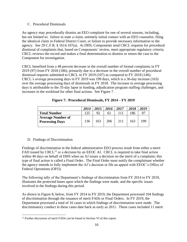#### <span id="page-19-0"></span>C. Procedural Dismissals

An agency may procedurally dismiss an EEO complaint for one of several reasons, including, but not limited to: failure to state a claim, untimely initial contact with an EEO counselor, filing the identical claim in Federal District Court, or failure to provide necessary information to the agency. See 29 C.F.R. § 1614.107(a). At DHS, Components send CRCL requests for procedural dismissal of complaints that, based on Components' review, meet appropriate regulatory criteria; CRCL reviews the record and makes a final determination to dismiss or return the case to the Component for investigation.

CRCL benefited from a 48 percent decrease in the overall number of formal complaints in FY 2019 (97) from FY 2018 (186), primarily due to a decrease in the overall number of procedural dismissal requests submitted to CRCL in FY 2019 (107) as compared to FY 2018 (146). CRCL's average processing days in FY 2019 was 199 days, which is a 36-day increase (163) over the average processing days of dismissals in FY 2018. The increase in average processing days is attributable to the 35-day lapse in funding, adjudication program staffing challenges, and increases in the workload for other final actions. See Figure 7.

|                                                    | 2014 | 2015 | 2016 | 2017  | 2018 | 2019           |
|----------------------------------------------------|------|------|------|-------|------|----------------|
| <b>Total Number</b>                                | 125  | 92   | 61   | l 1 1 | 186  | Q <sub>7</sub> |
| <b>Average Number of</b><br><b>Processing Days</b> | 136  | 163  | 206  | 211   | 163  | 199            |

**Figure 7: Procedural Dismissals, FY 2014 – FY 2019**

#### <span id="page-19-1"></span>D. Findings of Discrimination

Findings of discrimination in the federal administrative EEO process result from either a merit FAD issued by CRCL<sup>12</sup> or a decision by an EEOC AJ. CRCL is required to take final action within 40 days on behalf of DHS when an AJ issues a decision on the merit of a complaint; this type of final action is called a Final Order. The Final Order must notify the complainant whether the agency intends to fully implement the AJ's decision or file an appeal with EEOC's Office of Federal Operations (OFO).

The following tally of the Department's findings of discrimination from FY 2014 to FY 2019, illustrates the protected bases upon which the findings were made, and the specific issues involved in the findings during this period.

As shown in Figure 8, below, from FY 2014 to FY 2019, the Department processed 104 findings of discrimination through the issuance of merit FADs or Final Orders. In FY 2019, the Department processed a total of 16 cases in which findings of discrimination were made. The discriminatory conduct in these cases date back as early as 2011. These cases included 11 merit

 $\overline{a}$ <sup>12</sup> Further discussion of merit FADs can be found in Section VI of this report.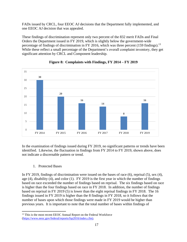FADs issued by CRCL, four EEOC AJ decisions that the Department fully implemented, and one EEOC AJ decision that was appealed.

These findings of discrimination represent only two percent of the 832 merit FADs and Final Orders the Department issued in FY 2019, which is slightly below the government-wide percentage of findings of discrimination in FY 2016, which was three percent (159 findings).<sup>13</sup> While these reflect a small percentage of the Department's overall complaint inventory, they get significant attention by CRCL and Component leadership.



#### **Figure 8: Complaints with Findings, FY 2014 – FY 2019**

In the examination of findings issued during FY 2019, no significant patterns or trends have been identified. Likewise, the fluctuation in findings from FY 2014 to FY 2019, shown above, does not indicate a discernable pattern or trend.

#### 1. Protected Bases

<span id="page-20-0"></span>In FY 2019, findings of discrimination were issued on the bases of race (6), reprisal (5), sex (4), age (4), disability (4), and color (1). FY 2019 is the first year in which the number of findings based on race exceeded the number of findings based on reprisal. The six findings based on race is higher than the four findings based on race in FY 2018. In addition, the number of findings based on reprisal in FY 2019 (5) is lower than the eight reprisal findings in FY 2018. The 16 findings issued in FY 2019 is higher than the 8 findings in FY 2018, so it follows that the number of bases upon which those findings were made in FY 2019 would be higher than previous years. It is important to note that the total number of bases within findings of

 $\overline{a}$ <sup>13</sup> This is the most recent EEOC Annual Report on the Federal Workforce (https://www.eeoc.gov/federal/reports/fsp2016/index.cfm).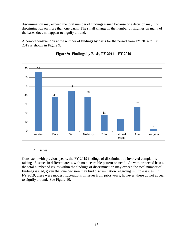discrimination may exceed the total number of findings issued because one decision may find discrimination on more than one basis. The small change in the number of findings on many of the bases does not appear to signify a trend.

A comprehensive look at the number of findings by basis for the period from FY 2014 to FY 2019 is shown in Figure 9.





#### 2. Issues

<span id="page-21-0"></span>Consistent with previous years, the FY 2019 findings of discrimination involved complaints raising 18 issues in different areas, with no discernible pattern or trend. As with protected bases, the total number of issues within the findings of discrimination may exceed the total number of findings issued, given that one decision may find discrimination regarding multiple issues. In FY 2019, there were modest fluctuations in issues from prior years; however, these do not appear to signify a trend. See Figure 10.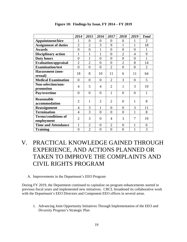|                                          | 2014           | 2015           | 2016           | 2017           | 2018           | 2019           | <b>Total</b>   |
|------------------------------------------|----------------|----------------|----------------|----------------|----------------|----------------|----------------|
| Appointment/hire                         |                | $\theta$       | $\theta$       | $\overline{0}$ | 0              |                | $\overline{2}$ |
| <b>Assignment of duties</b>              | $\overline{2}$ | $\overline{2}$ | 3              | 9              | 1              | 1              | 18             |
| <b>Awards</b>                            | $\overline{0}$ | $\theta$       | $\mathbf{1}$   | $\overline{0}$ | $\overline{0}$ | $\theta$       | 1              |
| <b>Disciplinary action</b>               | 1              |                | 1              | $\overline{0}$ | $\overline{2}$ | $\overline{4}$ | 9              |
| <b>Duty hours</b>                        | $\overline{0}$ | 1              | $\overline{0}$ | $\overline{0}$ | $\overline{0}$ | $\overline{0}$ | 1              |
| <b>Evaluation/appraisal</b>              | $\overline{2}$ | $\overline{2}$ | $\theta$       | $\overline{0}$ | $\overline{2}$ | 8              | 14             |
| <b>Examination/test</b>                  | $\theta$       | $\theta$       | $\theta$       | $\overline{2}$ | $\overline{0}$ | $\theta$       | $\overline{2}$ |
| <b>Harassment</b> (non-<br>sexual)       | 18             | 8              | 10             | 11             | 6              | 11             | 64             |
| <b>Medical Examination</b>               | $\overline{0}$ | $\theta$       | $\overline{0}$ | $\overline{2}$ | 3              | $\overline{0}$ | 5              |
| Non-selection/non-<br>promotion          | 4              | 5              | $\overline{4}$ | $\overline{2}$ | 1              | 3              | 19             |
| Pay/overtime                             | $\overline{0}$ | $\theta$       | $\theta$       | 1              | $\overline{0}$ | $\theta$       | 1              |
| <b>Reasonable</b><br>accommodation       | $\overline{2}$ | 1              | $\overline{2}$ | $\overline{2}$ | $\theta$       | 1              | 8              |
| <b>Reassignment</b>                      | $\overline{4}$ | 3              | $\mathbf{1}$   | $\overline{0}$ | $\overline{0}$ | 3              | 11             |
| <b>Termination</b>                       | $\overline{4}$ | 3              | $\overline{0}$ | $\overline{0}$ | $\overline{0}$ | 1              | 8              |
| <b>Terms/conditions of</b><br>employment | $\overline{2}$ | 3              | $\theta$       | 4              | 3              | 7              | 19             |
| <b>Time and Attendance</b>               | $\mathbf{1}$   | $\overline{2}$ | $\overline{0}$ | $\overline{2}$ | $\overline{0}$ | 1              | 6              |
| <b>Training</b>                          | $\theta$       | $\overline{2}$ | $\theta$       | $\theta$       | $\overline{0}$ |                | 3              |

**Figure 10: Findings by Issue, FY 2014 – FY 2019**

- <span id="page-22-0"></span>V. PRACTICAL KNOWLEDGE GAINED THROUGH EXPERIENCE, AND ACTIONS PLANNED OR TAKEN TO IMPROVE THE COMPLAINTS AND CIVIL RIGHTS PROGRAM
	- A. Improvements in the Department's EEO Program

<span id="page-22-1"></span>During FY 2019, the Department continued to capitalize on program enhancements started in previous fiscal years and implemented new initiatives. CRCL broadened its collaborative work with the Department's EEO Directors and Component EEO offices in several areas.

<span id="page-22-2"></span>1. Advancing Joint Opportunity Initiatives Through Implementation of the EEO and Diversity Program's Strategic Plan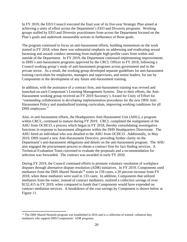In FY 2019, the EEO Council executed the final year of its five-year Strategic Plan aimed at achieving a unity of effort across the Department's EEO and Diversity programs. Working groups staffed by EEO and Diversity practitioners from across the Department focused on the Plan's goals and undertook measurable actions in furtherance of those goals.

The program continued to focus on anti-harassment efforts, building momentum on the work started in FY 2018, when there was substantial emphasis on addressing and eradicating sexual harassing and assault conduct stemming from multiple high-profile cases from within and outside of the Department. In FY 2019, the Department continued implementing improvements to DHS's anti-harassment programs approved by the CRCL Officer in FY 2018, following a Council working group's study of anti-harassment programs across government and in the private sector. As a result, the working group developed separate guidelines for anti-harassment training curriculum for employees, managers and supervisors, and senior leaders, for use by Components in the development of any future anti-harassment training.

In addition, with the assistance of a contract firm, anti-harassment training was revised and launched on each Component's Learning Management System. Due to their efforts, the Anti-Harassment working group received an FY 2019 Secretary's Award for Unity of Effort for "outstanding collaboration in developing implementation procedures for the new DHS Anti-Harassment Policy and standardized training curriculum, improving working conditions for all DHS employees."

Also, in anti-harassment efforts, the Headquarters Anti-Harassment Unit (AHU), a program within CRCL, continued to mature during FY 2019. CRCL completed the realignment of the AHU from OCHCO, a process which began in FY 2018, thereby consolidating investigative functions in response to harassment allegations within the DHS Headquarters Directorate. The AHU hired an individual who was detailed to the AHU from OCHCO. Additionally, in May 2019, DHS issued a new Anti-Harassment Directive, providing further clarity on the Department's anti-harassment obligations and details on the anti-harassment program. The AHU also engaged the procurement process to obtain a contract firm for fact-finding services. A Technical Evaluation Team convened to evaluate the proposals and a recommendation for selection was forwarded. The contract was awarded in early FY 2020.

During FY 2019, the Council continued efforts to promote voluntary resolution of workplace disputes through alternative dispute resolution (ADR) initiatives. In FY 2019, Components used mediators from the DHS Shared Neutrals<sup>14</sup> roster in 159 cases, a 20 percent increase from FY 2018, when these mediators were used in 133 cases. In addition, Components that utilized mediators from the roster, instead of contract mediators, realized a collective savings of over \$132,415 in FY 2019, when compared to funds that Components would have expended on contract mediation services. A breakdown of the cost savings by Component is shown below at Figure 11.

 $\overline{a}$ 

<sup>&</sup>lt;sup>14</sup> The DHS Shared Neutrals program was established in 2016 and is a collection of trained, collateral duty mediators who support DHS Components' ADR programs.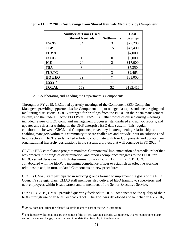|               | <b>Number of Times Used</b><br><b>Shared Neutrals</b> | <b>Settlements</b> | Cost<br><b>Savings</b> |
|---------------|-------------------------------------------------------|--------------------|------------------------|
| <b>USCIS</b>  | 34                                                    | 3                  | \$27,200               |
| <b>CBP</b>    | 53                                                    | 15                 | \$42,400               |
| <b>FEMA</b>   | 5                                                     |                    | \$4,000                |
| <b>USCG</b>   |                                                       |                    | \$3,000                |
| <b>ICE</b>    | 20                                                    | $\overline{2}$     | \$17,000               |
| <b>TSA</b>    | 3                                                     |                    | \$5,350                |
| <b>FLETC</b>  |                                                       | 3                  | \$2,465                |
| <b>HQ EEO</b> | 39                                                    |                    | \$31,000               |
| $USSS15$      |                                                       |                    |                        |
| <b>TOTAL</b>  | 159                                                   | 32                 | \$132,415              |

**Figure 11: FY 2019 Cost Savings from Shared Neutrals Mediators by Component**

2. Collaborating and Leading the Department's Components

<span id="page-24-0"></span>Throughout FY 2019, CRCL led quarterly meetings of the Component EEO Complaint Managers, providing opportunities for Components' input on agenda topics and encouraging and facilitating discussions. CRCL arranged for briefings from the EEOC on their data management system, and the Federal Sector EEO Portal (FedSEP). Other topics discussed during meetings included review of EEO complaint management processes, standardized and ad hoc reports, and updates and refresher training on the DHS enterprise EEO data system. This regular collaboration between CRCL and Components proved key in strengthening relationships and enabling managers within this community to share challenges and provide input on solutions and best practices. CRCL also launched efforts to coordinate with four Components and update their organizational hierarchy designations in the system, a project that will conclude in FY 2020.<sup>16</sup>

CRCL's EEO compliance program monitors Components' implementation of remedial relief that was ordered in findings of discrimination, and reports compliance progress to the EEOC for EEOC-issued decisions in which discrimination was found. During FY 2019, CRCL collaborated with the EEOC's incoming compliance officer to establish an effective working relationship and, in turn, updated Components on new procedures.

CRCL's CMAS staff participated in working groups formed to implement the goals of the EEO Council's strategic plan. CMAS staff members also delivered EEO training to supervisors and new employees within Headquarters and to members of the Senior Executive Service.

During FY 2019, CMAS provided quarterly feedback to DHS Components on the quality of their ROIs through use of an ROI Feedback Tool. The Tool was developed and launched in FY 2016,

 $\overline{a}$ 

<sup>&</sup>lt;sup>15</sup> USSS does not utilize the Shared Neutrals roster as part of their ADR program.

<sup>&</sup>lt;sup>16</sup> The hierarchy designations are the names of the offices within a specific Component. As reorganizations occur and office names change, there is a need to update the hierarchy in the database.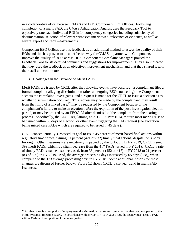in a collaborative effort between CMAS and DHS Component EEO Offices. Following completion of a merit FAD, the CMAS Adjudication Analyst uses the Feedback Tool to objectively rate each individual ROI in 14 competency categories including sufficiency of documentation, selection of relevant witnesses interviewed, relevance of evidence, as well as several report accuracy measurements.

Component EEO Offices use this feedback as an additional method to assess the quality of their ROIs and this has proven to be an effective way for CMAS to partner with Components to improve the quality of ROIs across DHS. Component Complaint Managers praised the Feedback Tool for its detailed comments and suggestions for improvement. They also indicated that they used the feedback as an objective improvement mechanism, and that they shared it with their staff and contractors.

<span id="page-25-0"></span>B. Challenges in the Issuance of Merit FADs

 $\overline{a}$ 

Merit FADs are issued by CRCL after the following events have occurred: a complainant files a formal complaint alleging discrimination (after undergoing EEO counseling), the Component accepts the complaint, investigates, and a request is made for the CRCL to issue a decision as to whether discrimination occurred. This request may be made by the complainant, may result from the filing of a mixed case, $17$  may be requested by the Component because of the complainant's failure to make an election before the expiration of the post-investigation election period, or may be ordered by an EEOC AJ after dismissal of the complaint from the hearing process. Specifically, the EEOC regulations, at 29 C.F.R. Part 1614, require most merit FADs to be issued within 60 days of election, or other event triggering the FAD request (the exception being mixed case FADs which are required to be issued in 45 days).

CRCL consequentially surpassed its goal to issue 45 percent of merit-based final actions within regulatory timeframes, issuing 51 percent (421 of 832) timely final actions, despite the 35-day furlough. Other measures were negatively impacted by the furlough. In FY 2019, CRCL issued 399 merit FADs, which is a slight decrease from the 417 FADs issued in FY 2018. CRCL's rate of timely FAD issuance also decreased, from 36 percent (152 of 417) in FY 2018 to 21 percent (83 of 399) in FY 2019. And, the average processing days increased by 65 days (238), when compared to the 173 average processing days in FY 2018. Some additional reasons for these changes are discussed further below. Figure 12 shows CRCL's six-year trend in merit FAD issuances.

 $17$  A mixed case is a complaint of employment discrimination that stems from an action that can be appealed to the Merit Systems Protection Board. In accordance with 29 C.F.R. § 1614.302(d)(2), the agency must issue a FAD within 45 days of completion of the investigation.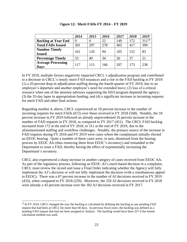|                                          | 2014 | 2015 | 2016 | 2017 | 2018 | 2019       |
|------------------------------------------|------|------|------|------|------|------------|
| <b>Backlog at Year End</b>               | 0    |      | 22   | 149  | 172  | $311^{18}$ |
| <b>Total FADs Issued</b>                 | 301  | 297  | 278  | 405  | 417  | 399        |
| <b>Number Timely</b><br><b>Issued</b>    | 161  | 120  | 94   | 105  | 152  | 83         |
| <b>Percentage Timely</b>                 | 53   | 40   | 34   | 26   | 37   | 21         |
| <b>Average Processing</b><br><b>Days</b> | 117  | 115  | 166  | 207  | 173  | 238        |

F**igure 12: Merit FADs FY 2014 – FY 2019**

In FY 2019, multiple factors negatively impacted CRCL's adjudication program and contributed to a decrease in CRCL's timely merit FAD issuances and a rise in the FAD backlog in FY 2019: (1) a 20 percent drop in adjudication staffing during the fourth quarter of FY 2019, due to an employee's departure and another employee's need for extended leave; (2) loss of a critical resource when one of the attorney-advisors supporting the EEO program departed the agency; (3) the 35-day lapse in appropriation funding; and (4) a significant increase in incoming requests for merit FAD and other final actions.

Regarding number 4, above, CRCL experienced an 18 percent increase in the number of incoming requests for merit FADs (672) over those received in FY 2018 (568). Notably, the 18 percent increase in FY 2019 followed an already unprecedented 26 percent increase in the number of FAD requests in FY 2018, as compared to FY 2017 (451). The CRCL FAD backlog increased from 172 at the end of FY 2018, to 311 at the end of FY 2019, due to the aforementioned staffing and workflow challenges. Notably, the primary source of the increase in FAD requests during FY 2018 and FY 2019 were cases where the complainant initially elected an EEOC hearing. Quite a number of these cases were, in turn, dismissed from the hearing process by EEOC AJs (thus removing them from EEOC's inventory) and remanded to the Department to issue a FAD, thereby having the effect of exponentially increasing the Department's inventory.

CRCL also experienced a sharp increase in another category of cases received from EEOC AJs. As part of the regulatory process, following an EEOC AJ's merit-based decision in a complaint, CRCL must review the record and issue a Final Order indicating whether the Agency will fully implement the AJ's decision or will not fully implement the decision (with a simultaneous appeal to EEOC). There was a 67 percent increase in the number of AJ decisions received in FY 2019 (433), when compared to FY 2018 (259). Moreover, the 259 AJ decisions received in FY 2018 were already a 42 percent increase over the 182 AJ decisions received in FY 2017.

 $\overline{a}$ 

<sup>&</sup>lt;sup>18</sup> In FY 2019, CRCL changed the way the backlog is calculated by defining the backlog as any pending FAD request that had been at CRCL for more than 60 days. In previous fiscal years, the backlog was defined as a pending FAD request that had not been assigned to Analyst. The backlog would have been 257 if the former calculation method was used.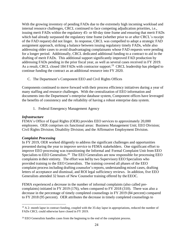With the growing inventory of pending FADs due to the extremely high incoming workload and internal resource challenges, CRCL continued to face competing adjudication priorities, i.e., issuing merit FADs within the regulatory 45- or 60-day time frame and ensuring that merit FADs which had already surpassed the regulatory time frame (whether prior to or after CRCL's receipt of the FAD request) did not linger. In response, CRCL was compelled to adopt a strategic FAD assignment approach, striking a balance between issuing regulatory timely FADs, while also addressing older cases to avoid disadvantaging complainants whose FAD requests were pending for a longer period. Additionally, CRCL dedicated additional funding to a contract to aid in the drafting of merit FADs. This additional support significantly improved FAD production by addressing FADs pending in the prior fiscal year, as well as several cases received in FY 2019. As a result, CRCL closed 184 FADs with contractor support.<sup>19</sup> CRCL leadership has pledged to continue funding the contract as an additional resource into FY 2020.

<span id="page-27-0"></span>C. The Department's Component EEO and Civil Rights Offices

Components continued to move forward with their process efficiency initiatives during a year of many staffing and resource challenges. With the centralization of EEO information and documents into the Department's enterprise database system, Component offices have leveraged the benefits of consistency and the reliability of having a robust enterprise data system.

1. Federal Emergency Management Agency

#### <span id="page-27-1"></span>*Infrastructure*

FEMA's Office of Equal Rights (OER) provides EEO services to approximately 20,000 employees. OER comprises six functional areas: Business Management Unit; EEO Division; Civil Rights Division; Disability Division; and the Affirmative Employment Division.

#### *Complaint Processing*

In FY 2019, OER worked diligently to address the significant challenges and opportunities presented during the year to improve service to FEMA stakeholders. One significant effort to improve EEO processing was transitioning the Informal and Formal Complaint Unit from EEO Specialists to  $\overline{E}$ EO Generalists.<sup>20</sup> The  $\overline{E}$ EO Generalists are now responsible for processing  $\overline{E}$ EO complaints in their entirety. The effort was led by two Supervisory EEO Specialists who provided training to the EEO Generalists. The training covered all phases of the EEO complaint process including drafting counselor's reports, understanding mixed cases, drafting letters of acceptance and dismissal, and ROI legal sufficiency reviews. In addition, five EEO Generalists attended 32 hours of New Counselor training offered by the EEOC.

FEMA experienced a decrease in the number of informal complaints (also called precomplaints) initiated in FY 2019 (176), when compared to FY 2018 (310). There was also a decrease in the percentage of timely completed counselings in FY 2019 (84 percent) compared to FY 2018 (95 percent). OER attributes the decrease in timely completed counselings to

 $\overline{a}$ <sup>19</sup> A 2- month lapse in contract funding, coupled with the 35-day lapse in appropriations, reduced the number of FADs CRCL could otherwise have closed in FY 2019.

<sup>&</sup>lt;sup>20</sup> EEO Generalists handles cases from the beginning to the end of the complaint process.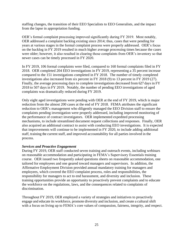staffing changes, the transition of their EEO Specialists to EEO Generalists, and the impact from the lapse in appropriation funding.

OER's formal complaint processing improved significantly during FY 2019. Most notably, OER addressed a complaint backlog existing since 2014; thus, cases that were pending for years at various stages in the formal complaint process were properly addressed. OER's focus on the backlog in FY 2019 resulted in much higher average processing times because the cases were older; however, it also resulted in clearing those complaints from OER's inventory so that newer cases can be timely processed in FY 2020.

In FY 2019, 106 formal complaints were filed, compared to 160 formal complaints filed in FY 2018. OER completed 204 EEO investigations in FY 2019, representing a 35 percent increase compared to the 151 investigations completed in FY 2018. The number of timely completed investigations also increased from six percent in FY 2018 (9) to 13 percent in FY 2019 (27). Finally, the average processing days to complete investigations decreased from 627 days in FY 2018 to 507 days in FY 2019. Notably, the number of pending EEO investigations of aged complaints was dramatically reduced during FY 2019.

Only eight aged investigations were pending with OER at the end of FY 2019, which is major reduction from the almost 200 cases at the end of FY 2018. FEMA attributes the significant reduction to OER's management who diligently managed the EEO Division staff to ensure the complaints pending investigation were properly addressed, including improved monitoring of the performance of contract investigators. OER implemented expedited processing mechanisms, to include streamlined document request collections and responses. Finally, OER also acquired an additional contract to assist with conducting EEO investigations. It is expected that improvements will continue to be implemented in FY 2020, to include adding additional staff, training the current staff, and improved accountability for all parties involved in the process.

#### *Services and Proactive Engagement*

During FY 2019, OER staff conducted seven training and outreach events, including webinars on reasonable accommodation and participating in FEMA's Supervisory Essentials training course. OER issued two frequently asked questions sheets on reasonable accommodation, one tailored for employees and one geared toward managers and supervisors. In addition, the Affirmative Employment Division provided annual mandatory training for managers and employees, which covered the EEO complaint process, roles and responsibilities, the responsibility for managers to act to end harassment, and diversity and inclusion. These training opportunities provide an opportunity to proactively prevent complaints and to educate the workforce on the regulations, laws, and the consequences related to complaints of discrimination.

Throughout FY 2019, OER employed a variety of strategies and initiatives to proactively engage and educate its workforce, promote diversity and inclusion, and create a cultural shift with a focus on living up to FEMA's core values of compassion, fairness, integrity, and respect.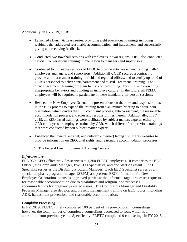#### Additionally, in FY 2019, OER:

- Launched a Lunch & Learn series, providing eight educational trainings including webinars that addressed reasonable accommodation, anti-harassment, and successfully giving and receiving feedback.
- Conducted two townhall sessions with employees in two regions. OER also conducted Crucial Conversations training in one region to managers and supervisors.
- Continued to utilize the services of EEOC to provide anti-harassment training to 462 employees, managers, and supervisors. Additionally, OER secured a contract to provide anti-harassment training to field and regional offices, and to certify up to 40 of OER's personnel to deliver anti-harassment and "Civil Treatment" training. The "Civil Treatment" training program focuses on preventing, detecting, and correcting inappropriate behaviors and building an inclusive culture. In the future, all FEMA employees will be required to participate in these mandatory, in-person sessions.
- Revised the New Employee Orientation presentations on the roles and responsibilities in the EEO process to expand the training from a 45-minute briefing to a four-hour orientation, which covers the EEO complaint process, anti-harassment, the reasonable accommodation process, and roles and responsibilities therein. Additionally, in FY 2019, all EEO based trainings were facilitated by subject matters experts, either by OER employees or employees trained by OER, which differed from previous trainings that were conducted by non-subject matter experts.
- Enhanced the inward (intranet) and outward (internet) facing civil rights websites to provide information on EEO, civil rights, and reasonable accommodation processes.
	- 2. The Federal Law Enforcement Training Centers

#### <span id="page-29-0"></span>*Infrastructure*

FLETC's EEO Office provides services to 1,260 FLETC employees. It comprises the EEO Officer, the Complaints Manager, five EEO Specialists, and one Staff Assistant. One EEO Specialist serves as the Disability Program Manager. Each EEO Specialist serves as a special emphasis program manager (SEPM) and presents EEO information for New Employee Orientation, counsels aggrieved parties at the informal stage, processes requests for reasonable accommodation due to disabilities and religion, and processes accommodations for pregnancy-related issues. The Complaints Manager and Disability Program Manager also develop and present management training on EEO topics, including ADR, harassment prevention, and reasonable accommodation.

#### *Complaint Processing*

In FY 2019, FLETC timely completed 100 percent of its pre-complaint counselings; however, the total number of completed counselings decreased to four, which is an aberration from previous years. Specifically, FLETC completed 9 counselings in FY 2018,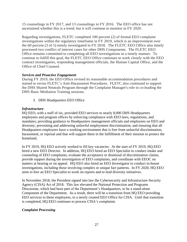15 counselings in FY 2017, and 13 counselings in FY 2016. The EEO office has not ascertained whether this is a trend, but it will continue to monitor in FY 2020.

Regarding investigations, FLETC completed 100 percent (2) of formal EEO complaint investigations within the regulatory timeframe in FY 2019, which is an improvement over the 60 percent (3 of 5) timely investigated in FY 2018. The FLETC EEO Office also timely processed two conflict of interest cases for other DHS Components. The FLETC EEO Office remains committed to completing all EEO investigations in a timely manner. To continue to fulfill this goal, the FLETC EEO Office continues to work closely with the EEO contract investigators, responding management officials, the Human Capital Office, and the Office of Chief Counsel.

#### *Services and Proactive Engagement*

During FY 2019, the EEO Office revised its reasonable accommodation procedures and started to revise FLETC's Anti-Harassment Procedures. FLETC also continued to support the DHS Shared Neutrals Program through the Complaint Manager's role in co-leading the DHS Basic Mediation Training sessions.

3. DHS Headquarters EEO Office

#### <span id="page-30-0"></span>*Infrastructure*

HQ EEO, with a staff of six, provided EEO services to nearly 8,000 DHS Headquarters employees and program offices by enforcing compliance with EEO laws, regulations, and mandates; providing guidance to Headquarters management officials and employees on EEO and diversity; preventing and addressing unlawful employment discrimination; and ensuring that all Headquarters employees have a working environment that is free from unlawful discrimination, harassment, or reprisal and that will support them in the fulfillment of their mission to protect the homeland.

In FY 2019, HQ EEO actively worked to fill key vacancies. At the start of FY 2019, HQ EEO hired a new EEO Director. In addition, HQ EEO hired an EEO Specialist to conduct intake and counseling of EEO complaints, evaluate the acceptance or dismissal of discrimination claims, provide support during the investigation of EEO complaints, and coordinate with EEOC on matters at hearing or on appeal. HQ EEO also hired an EEO Investigator to conduct in-house investigations, including those involving complex or unique fact patterns. In FY 2020, HQ EEO aims to hire an EEO Specialist to work on reports and to lead diversity initiatives.

In November 2018, the President signed into law the Cybersecurity and Infrastructure Security Agency (CISA) Act of 2018. This law elevated the National Protection and Programs Directorate, which had been part of the Department's Headquarters, to be a stand-alone Component of the Department. As a result, there will be a transition from HQ EEO providing EEO services to these employees, to a newly created EEO Office for CISA. Until that transition is completed, HQ EEO continues to process CISA's complaints

#### *Complaint Processing*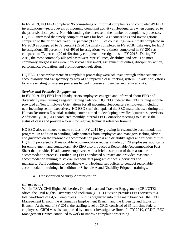In FY 2019, HQ EEO completed 95 counselings on informal complaints and completed 49 EEO investigations—record levels of incoming complaint activity at Headquarters when compared to the prior six fiscal years. Notwithstanding the increase in the number of complaints processed, HQ EEO increased the timely completion rates for both EEO counselings and investigations compared to the prior fiscal year: 98 percent (93 of 95) of counselings were timely completed in FY 2019 as compared to 79 percent (55 of 70) timely completed in FY 2018. Likewise, for EEO investigations, 88 percent (43 of 49) of investigations were timely completed in FY 2019 as compared to 73 percent (29 of 40) timely completed investigations in FY 2018. During FY 2019, the most commonly alleged bases were reprisal, race, disability, and sex. The most commonly alleged issues were non-sexual harassment, assignment of duties, disciplinary action, performance/evaluation, and promotion/non-selection.

HQ EEO's accomplishments in complaints processing were achieved through enhancements in accountability and transparency by way of an improved case tracking system. In addition, efforts to refine existing businesses processes helped increase efficiencies and reduced risks.

#### *Services and Proactive Engagement*

In FY 2019, HQ EEO kept Headquarters employees engaged and informed about EEO and diversity by maintaining a regular training cadence. HQ EEO updated the EEO training module provided at New Employee Orientations for all incoming Headquarters employees, including new incoming senior executives. HQ EEO staff also updated the EEO materials used during the Human Resources Essentials training course aimed at developing new Headquarters supervisors. Additionally, HQ EEO conducted monthly internal EEO Counselor meetings to discuss the status of cases and provide a forum for regular, technical refresher training.

HQ EEO also continued to make strides in FY 2019 by growing its reasonable accommodation program. In addition to handling daily contacts from employees and managers seeking advice and guidance on the reasonable accommodation process and disability rights and responsibilities, HQ EEO processed 258 reasonable accommodation requests made by 128 employees, applicants for employment, and contractors. HQ EEO also produced a Reasonable Accommodation Fact Sheet that provides Headquarters employees with a brief description of the reasonable accommodation process. Further, HQ EEO conducted outreach and provided reasonable accommodation training to several Headquarters program offices supervisors and managers. Staff continues to coordinate with Headquarters offices to conduct reasonable accommodation trainings in addition to Schedule A and Disability Etiquette trainings.

4. Transportation Security Administration

#### <span id="page-31-0"></span>*Infrastructure*

Within TSA's Civil Rights &Liberties, Ombudsman and Traveler Engagement (CRL/OTE) office, the Civil Rights, Diversity and Inclusion (CRDI) Division provides EEO services to a total workforce of 64,593 employees. CRDI is organized into three main branches: the EEO Management Branch, the Affirmative Employment Branch, and the Diversity and Inclusion Branch. At the end of FY 2019, the staffing level of CRDI consisted of 35 full-time federal employees. CRDI was also supported by contract investigative firms. In FY 2019, CRDI's EEO Management Branch continued to work to improve complaint processing.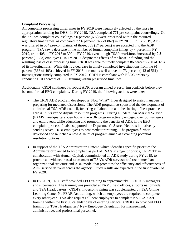#### *Complaint Processing*

All complaint processing timeframes in FY 2019 were negatively affected by the lapse in appropriation funding for DHS. In FY 2019, TSA completed 771 pre-complaint counselings. Of the 771 pre-complaint counselings, 90 percent (697) were processed within the required regulatory timeframes, as compared to 96 percent (827 of 862) in FY 2018. In FY 2019, ADR was offered in 584 pre-complaints; of those, 335 (57 percent) were accepted into the ADR program. TSA saw a decrease in the number of formal complaint filings by 4 percent in FY 2019, from 405 in FY 2018 to 390 in FY 2019, even though TSA's workforce increased by 2.5 percent (1,583) employees. In FY 2019, despite the effects of the lapse in funding and the resulting loss of case processing time, CRDI was able to timely complete 86 percent (280 of 325) of its investigations. While this is a decrease in timely completed investigations from the 91 percent (366 of 403) achieved in FY 2018, it remains well above the 73 percent (412 of 561) of investigations timely completed in FY 2017. CRDI is compliant with EEOC orders by conducting 100 percent of EEO training within prescribed timelines.

Additionally, CRDI continued its robust ADR program aimed at resolving conflicts before they become formal EEO complaints. During FY 2019, the following actions were taken:

- The CRDI ADR program developed a "Now What?" flyer designed to assist managers in preparing for mediated discussions. The ADR program co-sponsored the development of an informal TSA ADR council, fostering collaboration and the sharing of best practices across TSA's varied dispute resolution programs. During a Federal Air Marshal Service (FAMS) headquarters open house, the ADR program actively engaged over 50 managers and employees, while educating and promoting the benefits of ADR in the EEO complaint process. It also supported the Department's Shared Neutrals initiative by sending seven CRDI employees to new mediator training. The program further developed and launched a new ADR pilot program aimed at expanding potential resolution options.
- In support of the TSA Administrator's Intent, which identifies specific priorities the Administrator planned to accomplish as part of TSA's strategic priorities, CRL/OTE in collaboration with Human Capital, commissioned an ADR study during FY 2019, to provide an evidence-based assessment of TSA's ADR services and recommend an organizational structure and ADR model that promotes the efficiency and effectiveness of ADR service delivery across the agency. Study results are expected in the first quarter of FY 2020.
- In FY 2019, CRDI staff provided EEO training to approximately 1,600 TSA managers and supervisors. The training was provided at FAMS field offices, airports nationwide, and TSA Headquarters. CRDI's in-person training was supplemented by TSA Online Learning Center No FEAR Act training, which all employees are required to complete every other year. TSA also requires all new employees to complete No FEAR Act training within the first 90 calendar days of entering service. CRDI also provided EEO training for TSA Headquarters' New Employee Orientation for management, administrative, and professional personnel.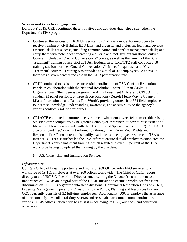#### *Services and Proactive Engagement*

During FY 2019, CRDI continued these initiatives and activities that helped strengthen the Department's EEO program:

- Continued the successful CRDI University (CRDI-U) as a model for employees to receive training on civil rights, EEO laws, and diversity and inclusion; learn and develop essential skills for success, including communication and conflict management skills; and equip them with techniques for creating a diverse and inclusive organizational culture. Courses included a "Crucial Conversations" course, as well as the launch of the "Civil Treatment" training course pilot at TSA Headquarters. CRL/OTE staff conducted 18 training sessions for the "Crucial Conversations," "Micro-Inequities," and "Civil Treatment" courses. Training was provided to a total of 320 employees. As a result, there was a seven percent increase in the ADR participation rate.
- CRDI continued to assist in the successful coordination of TSA Conflict Resolution Panels in collaboration with the National Resolution Center, Human Capital's Organizational Effectiveness program, the Anti-Harassment Office, and CRL/OTE to conduct 23 panel sessions, at three airport locations (Detroit Metro Wayne County, Miami International, and Dallas Fort Worth), providing outreach to 374 field employees to increase knowledge, understanding, awareness, and accessibility to the agency's various conflict resolution resources.
- CRL/OTE continued to nurture an environment where employees felt comfortable raising whistleblower complaints by heightening employee awareness of how to raise issues and file whistleblower complaints with the U.S. Office of Special Counsel (OSC). CRL/OTE also promoted OSC's contact information through the "Know Your Rights and Responsibilities" brochure that is readily available as an employee resource on TSA's intranet. CRL/OTE further led the TSA effort to ensure that all employees completed the Department's anti-harassment training, which resulted in over 95 percent of the TSA workforce having completed the training by the due date.
	- 5. U.S. Citizenship and Immigration Services

#### <span id="page-33-0"></span>*Infrastructure*

USCIS's Office of Equal Opportunity and Inclusion (OEOI) provides EEO services to a workforce of 19,111 employees at over 200 offices worldwide. The Chief of OEOI reports directly to the USCIS Office of the Director, underscoring the Director's commitment to the importance of EEO as an integral part of the USCIS mission to ensure a workplace free from discrimination. OEOI is organized into three divisions: Complaints Resolution Division (CRD); Diversity Management Operations Division; and the Policy, Planning and Resources Division. OEOI currently consists of 32 full-time employees. Additionally, USCIS employs the assistance of approximately 105 collateral-duty SEPMs and reasonable accommodation coordinators at various USCIS offices nation-wide to assist it in achieving its EEO, outreach, and education objectives.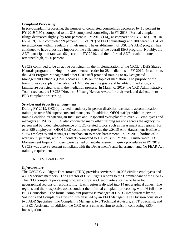#### *Complaint Processing*

In pre-complaint processing, the number of completed counselings decreased by 10 percent in FY 2019 (197), compared to the 218 completed counselings in FY 2018. Formal complaint filings decreased slightly, by four percent in FY 2019 (114), as compared to FY 2018 (119). In FY 2019, CRD completed 99 percent (196 of 197) of EEO counselings and 100 percent (104) of investigations within regulatory timeframes. The establishment of USCIS's ADR program has continued to have a positive impact on the efficiency of the overall EEO program. Notably, the ADR participation rate was 66 percent in FY 2019, and the informal ADR resolution rate remained high, at 50 percent.

USCIS continued to be an active participant in the implementation of the CRCL's DHS Shared Neutrals program, utilizing the shared neutrals cadre for 28 mediations in FY 2019. In addition, the ADR Program Manager and other CRD staff provided training to 86 Designated Management Officials (DMO) across USCIS on the topic of mediation. The purpose of the training was to explain the role of a DMO, discuss the goals and benefits of mediation, and familiarize participants with the mediation process. In March of 2019, the CRD Administrative Team received the USCIS Director's Unsung Heroes Award for their work and dedication to EEO complaint processing.

#### *Services and Proactive Engagement*

During FY 2019, OEOI provided mandatory in-person disability reasonable accommodation training to over 850 supervisors and managers. In addition, OEOI staff provided in-person training entitled, "Fostering an Inclusive and Respectful Workplace" to over 630 employees and managers at USCIS. OEOI also conducted many other training sessions across the agency inperson and by video teleconference on EEO-related topics, such as harassment and reprisal, for over 850 employees. OEOI CRD continues to provide the USCIS Anti-Harassment Hotline to allow employees and managers a mechanism to report harassment. In FY 2019, hotline calls were up 59 percent, with 217 contacts compared to 136 calls in FY 2018. Furthermore, 131 Management Inquiry Officers were trained on anti-harassment inquiry procedures in FY 2019. USCIS was also 96 percent compliant with the Department's anti-harassment and No FEAR Act training requirements.

6. U.S. Coast Guard

#### <span id="page-34-0"></span>*Infrastructure*

The USCG Civil Rights Directorate (CRD) provides services to 10,005 civilian employees and 48,069 service members. The Director of Civil Rights reports to the Commandant of the USCG. The EEO complaint processing program comprises Headquarters staff who have four geographical regions of responsibility. Each region is divided into 14 geographical zones. The regions and their respective zones conduct the informal complaint processing, with 46 full-time EEO Counselors. The formal complaint process is managed at USCG Headquarters by the Solutions and Complaints Division, which is led by an EEO Manager. The Division consists of two ADR Specialists, two Complaints Managers, two Technical Advisors, an IT Specialist, and an EEO Assistant. In addition, the CRD uses a contract firm to assist in conducting EEO investigations.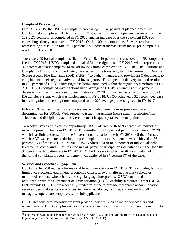#### *Complaint Processing*

During FY 2019, the USCG's complaint processing unit surpassed its planned objectives. USCG timely completed 100% of its 100 EEO counselings, an eight percent decrease from the 109 EEO counselings completed in FY 2018, and an increase over the 98 percent (107) of counselings timely completed in FY 2018. Of the 100 pre-complaints, 51 were resolved, representing a resolution rate of 51 percent, a six percent increase from the 45 pre-complaints resolved in FY 2018.

There were 49 formal complaints filed in FY 2019, a 16 percent decrease over the 58 complaints filed in FY 2018. USCG completed a total of 31 investigations in FY 2019, which represents a 37 percent decrease compared to the 49 investigations completed in FY 2018. The Solutions and Complaints Division continued using the electronic file transfer system, Department of Defense Secure Access File Exchange (DoD SAFE),<sup>21</sup> to gather, manage, and provide EEO documents to complainants, their representatives, and investigators. This expedited delivery method resulted in 100 percent of USCG's investigations being completed within the regulatory timeframe in FY 2019. USCG completed investigations in an average of 136 days, which is a five percent decrease from the 143 average processing days in FY 2018. Further, because of the improved file transfer system, which was implemented in FY 2018, USCG achieved a 32 percent decrease in investigation processing time, compared to the 200 average processing days in FY 2017.

In FY 2019, reprisal, disability, and race, respectively, were the most prevalent bases of discrimination for USCG. With respect to issues, harassment (non-sexual), promotion/nonselection, and disciplinary actions were the most frequently raised in complaints.

To resolve issues at the earliest opportunity, USCG offered ADR to 96 percent of individuals initiating pre-complaints in FY 2019. This resulted in a 49 percent participation rate in FY 2019, which is a slight decrease from the 50 percent participation rate in FY 2018. Of the 47 cases in which ADR was conducted during the pre-complaint process, settlement was achieved in 36 percent (17) of the cases. In FY 2019, USCG offered ADR to 98 percent of individuals who filed formal complaints. This resulted in a 40 percent participation rate, which is higher than the 34 percent participation rate in FY 2018. Of the 19 cases in which ADR was conducted during the formal complaint process, settlement was achieved in 37 percent (7) of the cases.

#### *Services and Proactive Engagement*

 $\overline{a}$ 

USCG granted 298 requests for reasonable accommodation in FY 2019. This includes, but is not limited to, electronic equipment, ergonomic chairs, telework, alternative work schedules, motorized scooters, wheelchairs, and sign language interpreters. USCG continued its relationship with the Department of Transportation (DOT) Disability Resource Center (DRC). DRC provides USCG with a centrally funded resource to provide reasonable accommodation services, personal assistance services, technical assistance, training, and outreach to all managers, supervisors, employees, and job applicants.

USCG Headquarters' mobility program provides devices, such as motorized scooters and wheelchairs, to USCG employees, applicants, and visitors in locations throughout the nation. In

<sup>&</sup>lt;sup>21</sup> This system was previously named the United States Army Aviation and Missile Research Development and Engineering Center's Safe Access File Exchange (AMRDEC SAFE).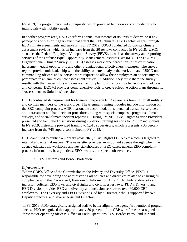FY 2019, the program received 26 requests, which provided temporary accommodations for individuals with mobility needs.

In another program area, USCG performs annual assessments of its units to determine if any perceptions of bias or triggers exist that affect the EEO climate. USCG achieves this through EEO climate assessments and surveys. For FY 2019, USCG conducted 25 on-site climate assessment reviews, which is an increase from the 20 reviews conducted in FY 2018. USCG also uses the Federal Employee Viewpoint Survey (FEVS), as well as the survey and reporting services of the Defense Equal Opportunity Management Institute (DEOMI). The DEOMI Organizational Climate Survey (DEOCS) assesses workforce perceptions of discrimination, harassment, equal opportunity, and other organizational effectiveness measures. The survey reports provide unit leadership with the ability to better analyze the work climate. USCG unit commanding officers and supervisors are required to allow their employees an opportunity to participate in an annual climate assessment survey. In addition, they must share the survey results with their supervisors and create an action plan to foster positive behaviors and address any concerns. DEOMI provides comprehensive tools to create effective action plans through its "Assessments to Solutions" website.

USCG continued its requirement for triennial, in-person EEO awareness training for all military and civilian members of the workforce. The triennial training modules include information on the EEO complaint process, ADR, reasonable accommodations, personal assistance services, anti-harassment and hate incident procedures, along with special emphasis programs, climate surveys, and social climate incident reporting. During FY 2019, Civil Rights Service Providers presented and facilitated discussions during in-person training sessions for 20,027 individuals. In FY 2019, instructors provided training to 1,013 supervisors, which represents a 36 percent increase from the 745 supervisors trained in FY 2018.

CRD continued to publish a monthly newsletter, "Civil Rights On Deck," which is targeted to internal and external readers. The newsletter provides an important avenue through which the agency educates the workforce and key stakeholders on EEO cases, general EEO complaint process information, best practices, EEO awards, and special observances.

7. U.S. Customs and Border Protection

#### <span id="page-36-0"></span>*Infrastructure*

Within CBP's Office of the Commissioner, the Privacy and Diversity Office (PDO) is responsible for developing and administering all policies and directives related to ensuring full compliance with the Privacy Act, Freedom of Information Act (FOIA), federal diversity and inclusion policies, EEO laws, and civil rights and civil liberties laws. PDO's Diversity and EEO Division provides EEO and diversity and inclusion services to over 60,000 CBP employees. The Diversity and EEO Division is led by a Director, who is supported by two Deputy Directors, and several Assistant Directors.

In FY 2019, PDO strategically assigned staff to better align to the agency's operational program needs. PDO recognized that approximately 80 percent of the CBP workforce are assigned to three major operating offices: Office of Field Operations, U.S. Border Patrol, and Air and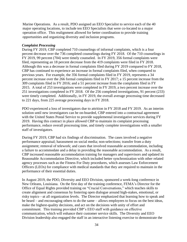Marine Operations. As a result, PDO assigned an EEO Specialist to service each of the 40 major operating locations, to include ten EEO Specialists that were co-located to a major operation office. This realignment allowed for better coordination to provide training opportunities and organizing diversity and inclusion programs.

#### *Complaint Processing*

During FY 2019, CBP completed 710 counselings of informal complaints, which is a four percent decrease over the 736 completed counselings during FY 2018. Of the 710 counselings in FY 2019, 99 percent (704) were timely counseled. In FY 2019, 356 formal complaints were filed, representing an 18 percent decrease from the 419 complaints were filed in FY 2018. Although this was a decrease in formal complaints filed during FY 2019 compared to FY 2018, CBP has continued to experience an increase in formal complaints filed, when compared to previous years. For example, the 356 formal complaints filed in FY 2019, represents a 34 percent increase over the 266 formal complaints filed in FY 2017; a 15 percent increase from the 309 complaints filed in FY 2016; and a 51 percent increase from the complaints filed in FY 2015. A total of 253 investigations were completed in FY 2019, a two percent increase over the 251 investigations completed in FY 2018. Of the 256 completed investigations, 91 percent (233) were timely completed. Additionally, in FY 2019, the overall average processing time decreased to 221 days, from 225 average processing days in FY 2018.

PDO experienced a loss of investigators due to attrition in FY 2018 and FY 2019. As an interim solution until new investigators can be on-boarded, CBP entered into a contractual agreement with the United States Postal Service to provide supplemental investigative services during FY 2019. Having this contract in place allowed CBP to maintain its complaint processing performance, reduce overall processing time, and timely complete investigations with a smaller staff of investigators.

During FY 2019, CBP had six findings of discrimination. The cases involved a negative performance appraisal; harassment on social media; non-selections; transfer from a duty assignment; removal of telework; and cases that involved reasonable accommodation, including a failure to accommodate and a delay in providing the reasonable accommodation. As a result, CBP increased reasonable accommodation training for managers and supervisors and updated its Reasonable Accommodation Directive, which included better synchronization with other related agency processes such as the Fitness For Duty procedures, which assesses Law Enforcement Officers (LEOs) for compliance with medical standards that they are required to maintain in the performance of their essential duties.

In August 2019, the PDO, Diversity and EEO Division, sponsored a week-long conference in New Orleans, Louisiana. On the first day of the training conference, FEMA's Director for the Office of Equal Rights provided training on "Crucial Conversations," which teaches skills to create alignment and consensus by fostering open dialogue around high-stakes, emotional, or risky topics—at all organization levels. The Director emphasized that learning how to speak and be heard – and encouraging others to do the same – allows employees to focus on the best ideas, make the highest-quality decisions, and act on the decisions with unity of effort and commitment. This training provided CBP's EEO staff with guidance on effective communication, which will enhance their customer service skills. The Diversity and EEO Division leadership also engaged the staff in an interactive listening exercise to demonstrate the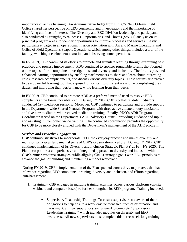importance of active listening. An Administrative Judge from EEOC's New Orleans Field Office shared her perspective on EEO counseling and investigations and the importance of identifying conflicts of interest. The Diversity and EEO Division leadership and participants also conducted a Strengths, Weaknesses, Opportunities, and Threats (SWOT) analysis on its principal program areas, to identify opportunities to improve processes and services. Lastly, participants engaged in an operational mission orientation with Air and Marine Operations and Office of Field Operations Seaport Operations, which among other things, included a tour of the facility, watching a canine demonstration, and observing some operations.

In FY 2019, CBP continued its efforts to promote and stimulate learning through examining best practices and process improvement. PDO continued to sponsor roundtable forums that focused on the topics of pre-complaints, investigations, and diversity and inclusion. The forums provided enhanced learning opportunities by enabling staff members to share and learn about interesting cases, research accomplishments, and discuss various diversity topics. These forums also proved to be a powerful learning tool that exposed junior staff to different ways of accomplishing their duties, and improving their performance, while learning from their peers.

In FY 2019, CBP continued to promote ADR as a preferred method used to resolve EEO complaints at the lowest possible level. During  $\overrightarrow{FY}$  2019, CBP's collateral duty mediators conducted 197 mediation sessions. Moreover, CBP continued to participate and provide support in the Department-wide Shared Neutrals Program, with three active collateral duty mediators, and five new mediators who received mediation training. Finally, PDO's ADR Program Coordinator served on the Department's ADR Advisory Council, providing guidance and input, and assisting in Component-wide training. The continued coordination provides the opportunity for CBP to be more closely aligned with the Department's management of the ADR program.

#### *Services and Proactive Engagement*

CBP continuously strives to incorporate EEO into everyday practice and makes diversity and inclusion principles fundamental parts of CBP's organizational culture. During FY 2019, CBP continued implementation of its Diversity and Inclusion Strategic Plan FY 2016 – FY 2020. The Plan incorporates a comprehensive and integrated approach to diversity and inclusion within CBP's human resource strategies, while aligning CBP's strategic goals with EEO principles to advance the goal of building and maintaining a model workplace.

During FY 2019, CBP's implementation of the Plan spanned across three major areas that have relevance regarding EEO complaints: training, diversity and inclusion, and efforts regarding anti-harassment.

- 1. Training CBP engaged in multiple training activities across various platforms (on-site, webinar, and computer-based) to further strengthen its EEO program. Training included:
	- Supervisory Leadership Training: To ensure supervisors are aware of their obligations to help ensure a work environment free from discrimination and harassment, all new supervisors are required to complete "Supervisory Leadership Training," which includes modules on diversity and EEO awareness. All new supervisors must complete this three-week-long training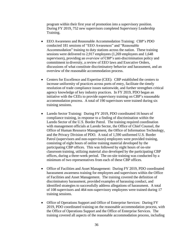program within their first year of promotion into a supervisory position. During FY 2019, 752 new supervisors completed Supervisory Leadership Training.

- EEO Awareness and Reasonable Accommodation Training: CBP's PDO conducted 181 sessions of "EEO Awareness" and "Reasonable Accommodation" training to duty stations across the nation. These training sessions were delivered to 2,917 employees (1,269 employees and 1,648 supervisors), providing an overview of CBP's anti-discrimination policy and commitment to diversity, a review of EEO laws and Executive Orders, discussions of what constitute discriminatory behavior and harassment, and an overview of the reasonable accommodation process.
- Centers for Excellence and Expertise (CEE): CBP established the centers to increase uniformity of practices across ports of entry, facilitate the timely resolution of trade compliance issues nationwide, and further strengthen critical agency knowledge of key industry practices. In FY 2019, PDO began an initiative with the CEEs to provide supervisory training on CBP's reasonable accommodation process. A total of 190 supervisors were trained during six training sessions.
- Laredo Sector Training: During FY 2019, PDO coordinated 16 hours of compliance training, in response to a finding of discrimination within the Laredo Sector of the U.S. Border Patrol. The training required coordination with management officials at Laredo Sector, the Office of Chief Counsel, the Office of Human Resource Management, the Office of Information Technology, and the Privacy Division of PDO. A total of 1,590 uniformed U.S. Border Patrol (supervisors and non-supervisors) employees were provided training, consisting of eight hours of online training material developed by the participating CBP offices. This was followed by eight hours of on-site classroom training, utilizing material also developed by the participating CBP offices, during a three-week period. The on-site training was conducted by a minimum of two representatives from each of these CBP offices.
- Office of Facilities and Asset Management: During FY 2019, PDO coordinated harassment awareness training for employees and supervisors within the Office of Facilities and Asset Management. The training covered the definition of discriminatory harassment, provided examples of harassing conduct, and identified strategies to successfully address allegations of harassment. A total of 108 supervisors and 464 non-supervisory employees were trained during 17 training sessions.
- Office of Operations Support and Office of Enterprise Services: During FY 2019, PDO coordinated training on the reasonable accommodation process, with the Office of Operations Support and the Office of Enterprise Services. The training covered all aspects of the reasonable accommodation process, including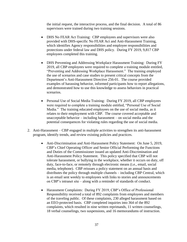the initial request, the interactive process, and the final decision. A total of 86 supervisors were trained during two training sessions.

- DHS No FEAR Act Training: CBP employees and supervisors were also provided with DHS-specific No FEAR Act and Anti-Harassment Training, which identifies Agency responsibilities and employee responsibilities and protections under federal law and DHS policy. During FY 2019, 9,817 CBP employees completed this training.
- DHS Preventing and Addressing Workplace Harassment Training: During FY 2019, all CBP employees were required to complete a training module entitled, "Preventing and Addressing Workplace Harassment." The training employed the use of scenarios and case studies to present critical concepts from the Department's Anti-Harassment Directive 256-01. The course provided examples of harassing behavior, informed participants how to report allegations, and demonstrated how to use this knowledge to assess behaviors in practical scenarios.
- Personal Use of Social Media Training: During FY 2019, all CBP employees were required to complete a training module entitled, "Personal Use of Social Media." The training educated employees on the use of social media, as it relates to their employment with CBP. The course covered acceptable and unacceptable behavior – including harassment – on social media and the potential consequences for violating rules regarding the use of social media.
- 2. Anti-Harassment CBP engaged in multiple activities to strengthen its anti-harassment program, identify trends, and review existing policies and practices.
	- Anti-Discrimination and Anti-Harassment Policy Statement: On June 5, 2019, CBP's Chief Operating Officer and Senior Official Performing the Functions and Duties of the Commissioner issued an updated Anti-Discrimination and Anti-Harassment Policy Statement. This policy specified that CBP will not tolerate harassment, or bullying in the workplace, whether it occurs on duty, off duty, face-to-face, or remotely through electronic means (i.e., email, social media, telephone). CBP reissues a policy statement on an annual basis and distributes the policy through multiple channels – including CBP Central, which is an email sent weekly to employees with links to stories and announcements on CBP's intranet site – along with a reminder of standards of conduct.
	- Harassment Complaints:During FY 2019, CBP's Office of Professional Responsibility received a total of 892 complaints from employees and members of the traveling public. Of these complaints, 230 alleged harassment based on an EEO-protected basis. CBP completed inquiries into 364 of the 892 complaints, which resulted in nine written reprimands, 11 written counselings, 18 verbal counselings, two suspensions, and 16 memorandums of instruction.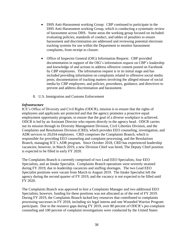- DHS Anti-Harassment working Group: CBP continued to participate in the DHS Anti-Harassment working Group, which is conducting a systematic review of harassment across DHS. Some areas the working group focused on included: evaluating policies, standards of conduct, and tables of penalties to ensure harassment and discrimination are addressed and reviewing potential electronic tracking systems for use within the Department to monitor harassment complaints, from receipt to closure.
- Office of Inspector General (OIG) Information Request:CBP provided documentation in support of the OIG's information request on CBP's leadership and knowledge of and actions to address offensive content posted on Facebook by CBP employees. The information request is in its initial stage and has included providing information on complaints related to offensive social media posts; documentation of tracking matters involving the alleged misuse of social media by CBP employees; and policies, procedures, guidance, and directives to prevent and address discrimination and harassment.
- 8. U.S. Immigration and Customs Enforcement

#### <span id="page-41-0"></span>*Infrastructure*

ICE's Office of Diversity and Civil Rights (ODCR), mission is to ensure that the rights of employees and applicants are protected and that the agency promotes a proactive equal employment opportunity program, to ensure that the goal of a diverse workplace is achieved. ODCR is led by an Assistant Director who reports directly to the agency head. ODCR carries out its mission through its Diversity Management Division, Civil Liberties Division, and the Complaints and Resolutions Division (CRD), which provides EEO counseling, investigation, and ADR services to 20,034 employees. CRD comprises the Complaints Branch, which is responsible for providing EEO counseling and complaint processing, and the Resolutions Branch, managing ICE's ADR program. Since October 2018, CRD has experienced leadership vacancies; however, in March 2019, a new Division Chief was hired, The Deputy Chief position is expected to be filled in early FY 2020.

The Complaints Branch is currently comprised of two Lead EEO Specialists, four EEO Specialists, and an Intake Specialist. Complaints Branch operations were severely strained during FY 2019, due to leadership vacancies and staffing shortages. The two Lead EEO Specialist positions were vacant from March to August 2019. The Intake Specialist left the agency during the second quarter of FY 2019, and the vacancy is not expected to be filled until FY 2020.

The Complaints Branch was approved to hire a Complaints Manager and two additional EEO Specialists; however, funding for these positions was not allocated as of the end of FY 2019. During FY 2019, the Complaints Branch lacked key resources that contributed to complaints processing successes in FY 2018, including six legal interns and one Wounded Warrior Program participant. Due to the resource gaps during FY 2019, over 80 percent of ODCR's pre-complaint counseling and 100 percent of complaint investigations were conducted by the United States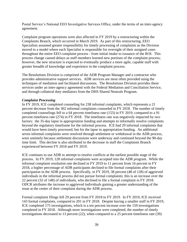Postal Service's National EEO Investigative Services Office, under the terms of an inter-agency agreement.

Complaint program operations were also affected in FY 2019 by a restructuring within the Complaints Branch, which occurred in March 2019. As part of this restructuring, EEO Specialists assumed greater responsibility for timely processing of complaints as the Division moved to a model where each Specialist is responsible for oversight of their assigned cases throughout the entire EEO complaint process - from initial intake to issuance of the ROI. This process change caused delays as staff members learned new portions of the complaint process; however, the new structure is expected to eventually produce a more agile, capable staff with greater breadth of knowledge and experience in the complaint process.

The Resolutions Division is comprised of the ADR Program Manager and a contractor who provides administrative support services. ADR services are most often provided using the techniques of mediation and facilitated discussions. The Resolutions Division provides these services under an inter-agency agreement with the Federal Mediation and Conciliation Service, and through collateral duty mediators from the DHS Shared Neutrals Program.

#### *Complaint Processing*

In FY 2019, ICE completed counseling for 238 informal complaints, which represents a 21 percent decrease from the 302 informal complaints counseled in FY 2018. The number of timely completed counselings fell to a 64 percent timeliness rate (153) in FY 2019, compared to a 91 percent timeliness rate (274) in FY 2018. The timeliness rate was negatively impacted by two factors: the 35-day lapse in appropriation funding and attempts to informally resolve complaints beyond the regulatory timeframe for the informal process. ICE had 29 informal complaints that would have been timely processed, but for the lapse in appropriation funding. An additional seven informal complaints were resolved through settlement or withdrawal in the ADR process, were untimely because settlement discussions were underway and continued beyond the 90-day time limit. This decline is also attributed to the decrease in staff the Complaints Branch experienced between FY 2018 and FY 2019.

ICE continues to use ADR to attempt to resolve conflicts at the earliest possible stage of the process. In FY 2019, 128 informal complaints were accepted into the ADR program. While the informal complaint resolution rate declined in FY 2019 to 11 percent from 16 percent in FY 2018, a higher percentage of ADR participants declined to file formal complaints after their participation in the ADR process. Specifically, in FY 2019, 38 percent (48 of 128) of aggrieved individuals in the informal process did not pursue formal complaints; this is an increase over the 22 percent (32 of 148) of individuals, who declined to file a formal complaint in FY 2018. ODCR attributes the increase to aggrieved individuals gaining a greater understanding of the issue at the center of their complaint during the ADR process.

Formal complaint filings fell 29 percent from FY 2018 to FY 2019. In FY 2019, ICE received 143 formal complaints, compared to 201 in FY 2018. Despite having a smaller staff in FY 2019, ICE completed 175 investigations, which is a ten percent increase over the 159 investigations completed in FY 2018. Although more investigations were completed, the number of timely investigations decreased to 13 percent (22), when compared to a 25 percent timeliness rate (39)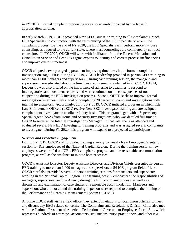in FY 2018. Formal complaint processing was also severely impacted by the lapse in appropriation funding.

In early March 2019, ODCR provided New EEO Counselor training to all Complaints Branch EEO Specialists, in conjunction with the restructuring of the EEO Specialists' role in the complaint process. By the end of FY 2020, the EEO Specialists will perform more in-house counseling, as opposed to the current state, where most counselings are completed by contract counselors. In FY 2020, ODCR will work with facilitators from the Federal Mediation and Conciliation Service and Lean Six Sigma experts to identify and correct process inefficiencies and improve overall timeliness.

ODCR adopted a two-pronged approach to improving timeliness in the formal complaint investigation stage. First, during FY 2019, ODCR leadership provided in-person EEO training to more than 1,000 managers and supervisors. During each training session, the managers and supervisors were educated about the timeliness requirements contained in 29 C.F.R. § 1614, Leadership was also briefed on the importance of adhering to deadlines to respond to interrogatories and document requests and were cautioned on the consequences of not cooperating during the EEO investigation process. Second, ODCR seeks to improve formal investigation timeliness with a goal of completing 20 percent of complaint investigations with internal investigators. Accordingly, during FY 2019, ODCR initiated a program in which ICE Law Enforcement Officers (LEOs) receive New EEO Investigator training and are assigned complaints to investigate on a collateral-duty basis. This program began with a Supervisory Special Agent (SSA) from Homeland Security Investigations, who was detailed full-time to ODCR to serve as the Internal Investigations Manager. In that role, the SSA attended and evaluated several New EEO Investigator training programs and was assigned several complaints to investigate. During FY 2020, this program will expand to a projected 20 participants.

#### *Services and Proactive Engagement*

During FY 2019, ODCR staff provided training at every bi-weekly New Employee Orientation session for ICE employees of the National Capital Region. During the training sessions, new employees were briefed on ICE's EEO complaints program and the reasonable accommodation program, as well as the timelines to initiate both processes.

ODCR's Assistant Director, Deputy Assistant Director, and Division Chiefs presented in-person EEO training to more than 1,000 managers and supervisors at 54 ICE program field offices. ODCR staff also provided several in-person training sessions for managers and supervisors working in the National Capital Region. The training heavily emphasized the responsibilities of managers, supervisors, and the Agency during the EEO complaint process, as well as a discussion and examination of case studies on reasonable accommodation. Managers and supervisors who did not attend this training in person were required to complete the training on the Performance and Learning Management System (PALMS).

Anytime ODCR staff visits a field office, they extend invitations to local union officials to meet and discuss any EEO-related concerns. The Complaints and Resolutions Division Chief also met with the National President of American Federation of Government Employees Local 511, which represents hundreds of attorneys, accountants, statisticians, nurse practitioners, and other ICE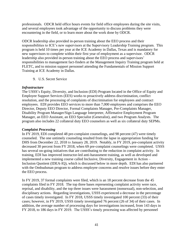professionals. ODCR held office hours events for field office employees during the site visits, and several employees took advantage of the opportunity to discuss problems they were encountering in the field, or to learn more about the work done by ODCR.

ODCR leadership also provided in-person training about the EEO process and their responsibilities to ICE's new supervisors at the Supervisory Leadership Training program. This program is held 10 times per year at the ICE Academy in Dallas, Texas and is mandatory for new supervisors to complete within their first year of employment as a supervisor. ODCR leadership also provided in-person training about the EEO process and supervisors' responsibilities to management fact-finders at the Management Inquiry Training program held at FLETC, and to mission support personnel attending the Fundamentals of Mission Support Training at ICE Academy in Dallas.

9. U.S. Secret Service

#### <span id="page-44-0"></span>*Infrastructure*

The USSS's Equity, Diversity, and Inclusion (EDI) Program located in the Office of Equity and Employee Support Services (EES) works to proactively address discrimination, conflict resolution, and the processing of complaints of discrimination for employees and contract employees. EDI provides EEO services to more than 7,000 employees and comprises the EEO Director, Deputy EEO Director, Formal Complaints Manager, Pre-Complaints Manager, Disability Program Manager/Sign Language Interpreter, Affirmative Employment Program Manager, an EEO Assistant, an EEO Specialist (Generalist), and two Program Analysts. The program also includes 22 collateral duty EEO counselors as well as six collateral duty SEPMs.

#### *Complaint Processing*

In FY 2019, EDI completed 48 pre-complaint counselings, and 98 percent (47) were timely counseled. The one untimely counseling resulted from the lapse in appropriation funding for DHS from December 22, 2018 to January 28, 2019. Notably, in FY 2019, pre-complaint activity decreased 30 percent from FY 2018, when 69 pre-complaint counselings were completed. USSS has several on-going initiatives that are contributing to the reduction in complaint activity. In training, EDI has improved instructor-led anti-harassment training, as well as developed and implemented a new training course called Inclusive, Diversity, Engagement in Action – Inclusion Quotient (IDEA-IQ), which is discussed below in more depth. EDI has also partnered with the Ombudsman program to address employee concerns and resolve issues before they enter the EEO process.

In FY 2019, 37 formal complaints were filed, which is an 18 percent decrease from the 45 complaints filed in FY 2018. The top three bases representing complaint activity were race, reprisal, and disability, and the top three issues were harassment (nonsexual), non-selection, and disciplinary actions. Regarding investigations, USSS experienced a decrease in the percentage of cases timely investigated. In FY 2018, USSS timely investigated 100 percent (33) of their cases; however, in FY 2019, USSS timely investigated 76 percent (26 of 34) of their cases. In addition, the average number of processing days for investigations increased, from 143 days in FY 2018, to 186 days in FY 2019. The USSS's timely processing was affected by personnel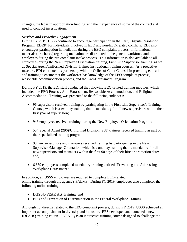changes, the lapse in appropriation funding, and the inexperience of some of the contract staff used to conduct investigations.

#### *Services and Proactive Engagement*

During FY 2019, USSS continued to encourage participation in the Early Dispute Resolution Program (EDRP) for individuals involved in EEO and non-EEO-related conflicts. EDI also encourages participation in mediation during the EEO complaint process. Informational materials (brochures) regarding mediation are distributed to the general workforce and to employees during the pre-complaint intake process. This information is also available to all employees during the New Employee Orientation training, First Line Supervisor training, as well as Special Agent/Uniformed Division Trainee instructional training courses. As a proactive measure, EDI continued its partnership with the Office of Chief Counsel in providing education and training to ensure that the workforce has knowledge of the EEO complaint process, reasonable accommodation process, and the Anti-Harassment Program.

During FY 2019, the EDI staff conducted the following EEO-related training modules, which included the EEO Process, Anti-Harassment, Reasonable Accommodation, and Religious Accommodation. Training was presented to the following audiences:

- 96 supervisors received training by participating in the First Line Supervisor's Training Course, which is a two-day training that is mandatory for all new supervisors within their first year of supervision;
- 946 employees received training during the New Employee Orientation Program;
- 554 Special Agent (296)/Uniformed Division (258) trainees received training as part of their specialized training program;
- 93 new supervisors and managers received training by participating in the New Supervisor/Manager Orientation, which is a one-day training that is mandatory for all new supervisors and managers within the first 90 days of their hire or promotion date; and,
- 6,659 employees completed mandatory training entitled "Preventing and Addressing Workplace Harassment."

In addition, all USSS employees are required to complete EEO-related online training through the agency's PALMS. During FY 2019, employees also completed the following online training:

- DHS No FEAR Act Training; and
- EEO and Prevention of Discrimination in the Federal Workplace Training.

Although not directly related to the EEO complaint process, during FY 2019, USSS achieved an important accomplishment in diversity and inclusion. EES developed and launched a new IDEA-IQ training course. IDEA-IQ is an interactive training course designed to challenge the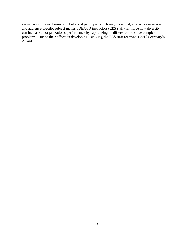views, assumptions, biases, and beliefs of participants. Through practical, interactive exercises and audience-specific subject matter, IDEA-IQ instructors (EES staff) reinforce how diversity can increase an organization's performance by capitalizing on differences to solve complex problems. Due to their efforts in developing IDEA-IQ, the EES staff received a 2019 Secretary's Award.